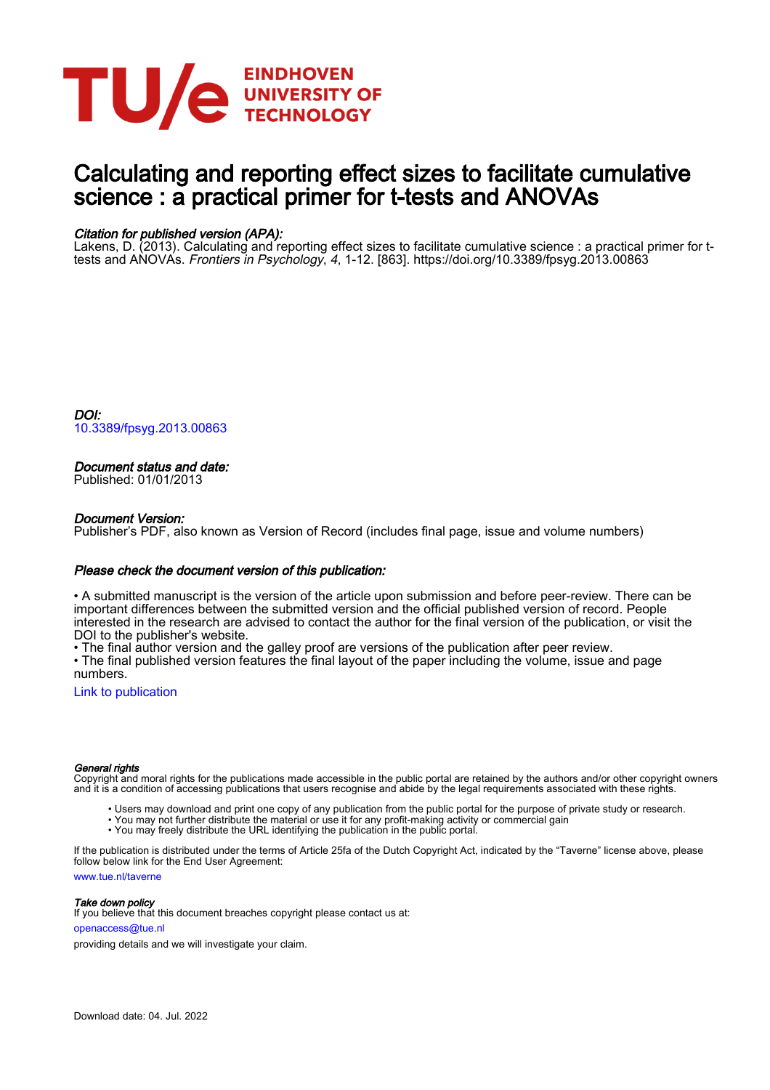

# Calculating and reporting effect sizes to facilitate cumulative science : a practical primer for t-tests and ANOVAs

# Citation for published version (APA):

Lakens, D. (2013). Calculating and reporting effect sizes to facilitate cumulative science : a practical primer for ttests and ANOVAs. Frontiers in Psychology, 4, 1-12. [863]. <https://doi.org/10.3389/fpsyg.2013.00863>

DOI: [10.3389/fpsyg.2013.00863](https://doi.org/10.3389/fpsyg.2013.00863)

# Document status and date:

Published: 01/01/2013

# Document Version:

Publisher's PDF, also known as Version of Record (includes final page, issue and volume numbers)

# Please check the document version of this publication:

• A submitted manuscript is the version of the article upon submission and before peer-review. There can be important differences between the submitted version and the official published version of record. People interested in the research are advised to contact the author for the final version of the publication, or visit the DOI to the publisher's website.

• The final author version and the galley proof are versions of the publication after peer review.

• The final published version features the final layout of the paper including the volume, issue and page numbers.

[Link to publication](https://research.tue.nl/en/publications/ff6cf56e-c2cf-4db6-9f39-65986c569264)

#### General rights

Copyright and moral rights for the publications made accessible in the public portal are retained by the authors and/or other copyright owners and it is a condition of accessing publications that users recognise and abide by the legal requirements associated with these rights.

- Users may download and print one copy of any publication from the public portal for the purpose of private study or research.
- You may not further distribute the material or use it for any profit-making activity or commercial gain
- You may freely distribute the URL identifying the publication in the public portal.

If the publication is distributed under the terms of Article 25fa of the Dutch Copyright Act, indicated by the "Taverne" license above, please follow below link for the End User Agreement:

www.tue.nl/taverne

**Take down policy**<br>If you believe that this document breaches copyright please contact us at:

openaccess@tue.nl

providing details and we will investigate your claim.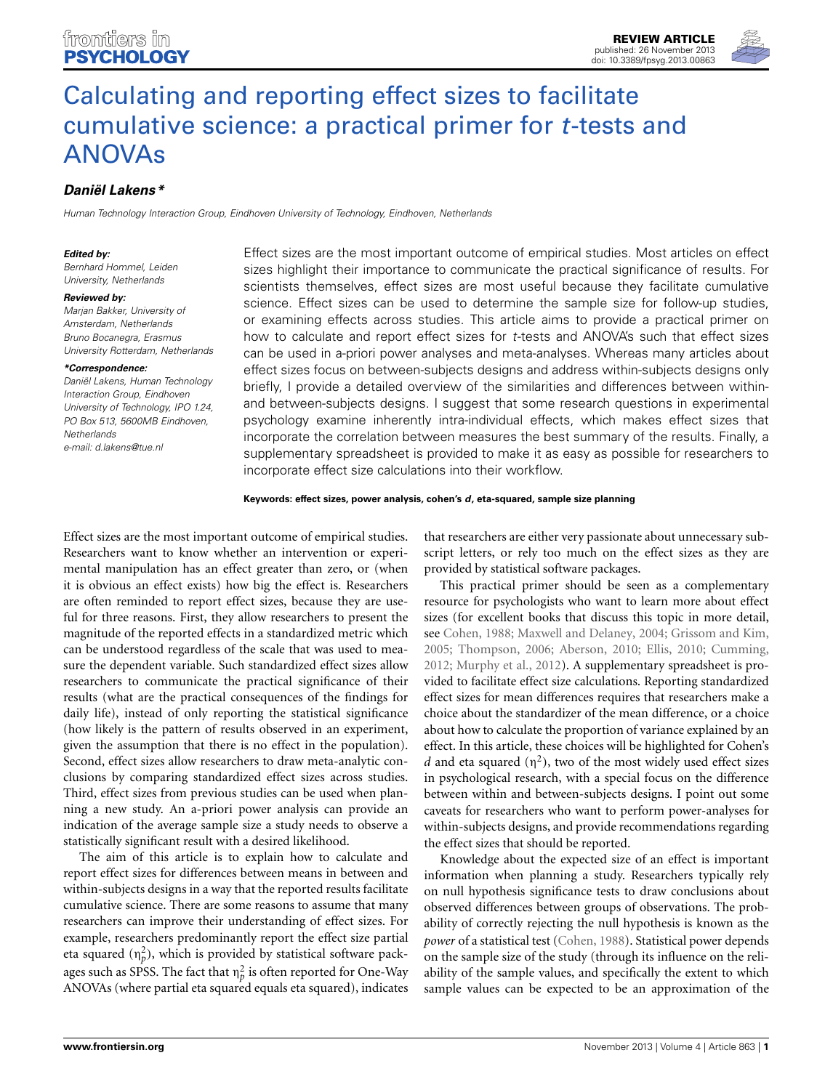

# *[Daniël Lakens\\*](http://www.frontiersin.org/people/u/25465)*

*Human Technology Interaction Group, Eindhoven University of Technology, Eindhoven, Netherlands*

#### *Edited by:*

*Bernhard Hommel, Leiden University, Netherlands*

#### *Reviewed by:*

*Marjan Bakker, University of Amsterdam, Netherlands Bruno Bocanegra, Erasmus University Rotterdam, Netherlands*

#### *\*Correspondence:*

*Daniël Lakens, Human Technology Interaction Group, Eindhoven University of Technology, IPO 1.24, PO Box 513, 5600MB Eindhoven, Netherlands e-mail: [d.lakens@tue.nl](mailto:d.lakens@tue.nl)*

Effect sizes are the most important outcome of empirical studies. Most articles on effect sizes highlight their importance to communicate the practical significance of results. For scientists themselves, effect sizes are most useful because they facilitate cumulative science. Effect sizes can be used to determine the sample size for follow-up studies, or examining effects across studies. This article aims to provide a practical primer on how to calculate and report effect sizes for *t*-tests and ANOVA's such that effect sizes can be used in a-priori power analyses and meta-analyses. Whereas many articles about effect sizes focus on between-subjects designs and address within-subjects designs only briefly, I provide a detailed overview of the similarities and differences between withinand between-subjects designs. I suggest that some research questions in experimental psychology examine inherently intra-individual effects, which makes effect sizes that incorporate the correlation between measures the best summary of the results. Finally, a supplementary spreadsheet is provided to make it as easy as possible for researchers to incorporate effect size calculations into their workflow.

#### **Keywords: effect sizes, power analysis, cohen's** *d***, eta-squared, sample size planning**

Effect sizes are the most important outcome of empirical studies. Researchers want to know whether an intervention or experimental manipulation has an effect greater than zero, or (when it is obvious an effect exists) how big the effect is. Researchers are often reminded to report effect sizes, because they are useful for three reasons. First, they allow researchers to present the magnitude of the reported effects in a standardized metric which can be understood regardless of the scale that was used to measure the dependent variable. Such standardized effect sizes allow researchers to communicate the practical significance of their results (what are the practical consequences of the findings for daily life), instead of only reporting the statistical significance (how likely is the pattern of results observed in an experiment, given the assumption that there is no effect in the population). Second, effect sizes allow researchers to draw meta-analytic conclusions by comparing standardized effect sizes across studies. Third, effect sizes from previous studies can be used when planning a new study. An a-priori power analysis can provide an indication of the average sample size a study needs to observe a statistically significant result with a desired likelihood.

The aim of this article is to explain how to calculate and report effect sizes for differences between means in between and within-subjects designs in a way that the reported results facilitate cumulative science. There are some reasons to assume that many researchers can improve their understanding of effect sizes. For example, researchers predominantly report the effect size partial eta squared  $(\eta_p^2)$ , which is provided by statistical software packages such as SPSS. The fact that  $\eta_p^2$  is often reported for One-Way ANOVAs (where partial eta squared equals eta squared), indicates that researchers are either very passionate about unnecessary subscript letters, or rely too much on the effect sizes as they are provided by statistical software packages.

This practical primer should be seen as a complementary resource for psychologists who want to learn more about effect sizes (for excellent books that discuss this topic in more detail, see [Cohen](#page-11-0), [1988](#page-11-0); [Maxwell and Delaney](#page-11-1), [2004](#page-11-1); [Grissom and Kim,](#page-11-2) [2005](#page-11-2); [Thompson, 2006;](#page-11-3) [Aberson, 2010](#page-10-0); [Ellis](#page-11-4), [2010;](#page-11-4) [Cumming,](#page-11-5) [2012](#page-11-5); [Murphy et al.](#page-11-6), [2012](#page-11-6)). A supplementary spreadsheet is provided to facilitate effect size calculations. Reporting standardized effect sizes for mean differences requires that researchers make a choice about the standardizer of the mean difference, or a choice about how to calculate the proportion of variance explained by an effect. In this article, these choices will be highlighted for Cohen's *d* and eta squared  $(\eta^2)$ , two of the most widely used effect sizes in psychological research, with a special focus on the difference between within and between-subjects designs. I point out some caveats for researchers who want to perform power-analyses for within-subjects designs, and provide recommendations regarding the effect sizes that should be reported.

Knowledge about the expected size of an effect is important information when planning a study. Researchers typically rely on null hypothesis significance tests to draw conclusions about observed differences between groups of observations. The probability of correctly rejecting the null hypothesis is known as the *power* of a statistical test [\(Cohen](#page-11-0), [1988\)](#page-11-0). Statistical power depends on the sample size of the study (through its influence on the reliability of the sample values, and specifically the extent to which sample values can be expected to be an approximation of the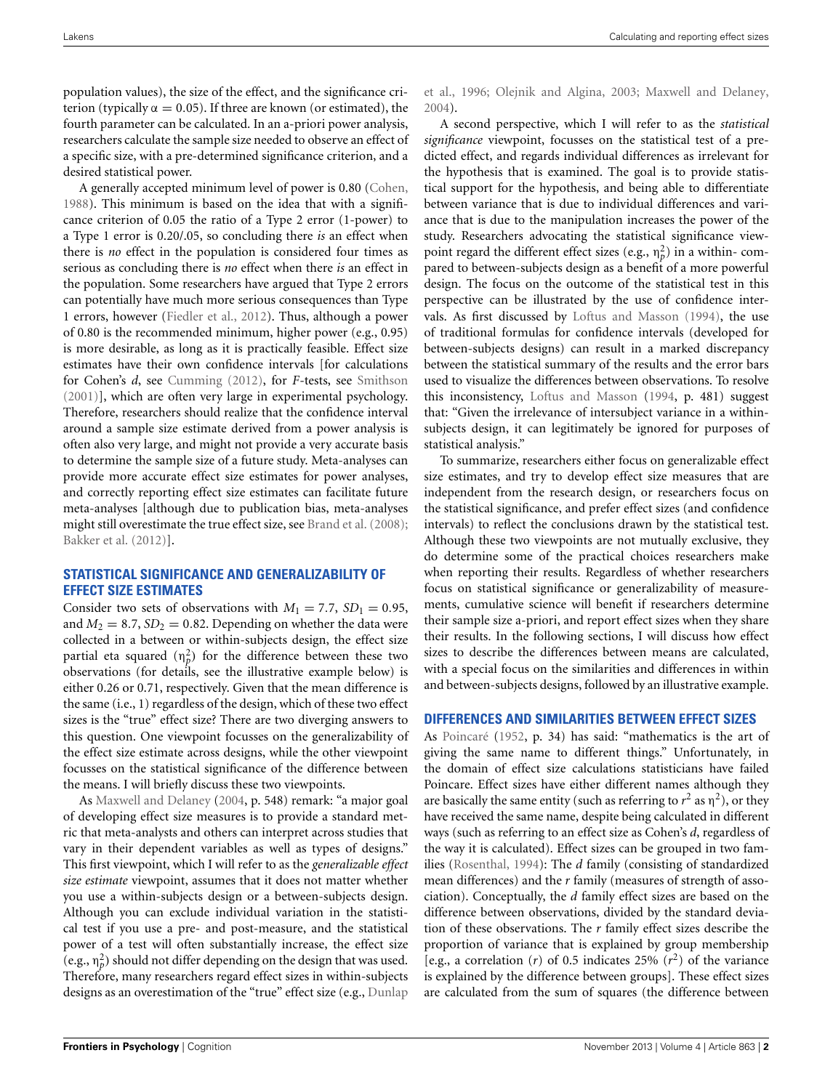population values), the size of the effect, and the significance criterion (typically  $\alpha = 0.05$ ). If three are known (or estimated), the fourth parameter can be calculated. In an a-priori power analysis, researchers calculate the sample size needed to observe an effect of a specific size, with a pre-determined significance criterion, and a desired statistical power.

A generally accepted minimum level of power is 0.80 [\(Cohen,](#page-11-0) [1988](#page-11-0)). This minimum is based on the idea that with a significance criterion of 0.05 the ratio of a Type 2 error (1-power) to a Type 1 error is 0.20/.05, so concluding there *is* an effect when there is *no* effect in the population is considered four times as serious as concluding there is *no* effect when there *is* an effect in the population. Some researchers have argued that Type 2 errors can potentially have much more serious consequences than Type 1 errors, however [\(Fiedler et al.](#page-11-7), [2012\)](#page-11-7). Thus, although a power of 0.80 is the recommended minimum, higher power (e.g., 0.95) is more desirable, as long as it is practically feasible. Effect size estimates have their own confidence intervals [for calculations for Cohen's *d*, see [Cumming](#page-11-5) [\(2012](#page-11-5)), for *F*-tests, see [Smithson](#page-11-8) [\(2001\)](#page-11-8)], which are often very large in experimental psychology. Therefore, researchers should realize that the confidence interval around a sample size estimate derived from a power analysis is often also very large, and might not provide a very accurate basis to determine the sample size of a future study. Meta-analyses can provide more accurate effect size estimates for power analyses, and correctly reporting effect size estimates can facilitate future meta-analyses [although due to publication bias, meta-analyses might still overestimate the true effect size, see [Brand et al.](#page-10-1) [\(2008](#page-10-1)); [Bakker et al.](#page-10-2) [\(2012\)](#page-10-2)].

# **STATISTICAL SIGNIFICANCE AND GENERALIZABILITY OF EFFECT SIZE ESTIMATES**

Consider two sets of observations with  $M_1 = 7.7$ ,  $SD_1 = 0.95$ , and  $M_2 = 8.7$ ,  $SD_2 = 0.82$ . Depending on whether the data were collected in a between or within-subjects design, the effect size partial eta squared  $(n_p^2)$  for the difference between these two observations (for details, see the illustrative example below) is either 0.26 or 0.71, respectively. Given that the mean difference is the same (i.e., 1) regardless of the design, which of these two effect sizes is the "true" effect size? There are two diverging answers to this question. One viewpoint focusses on the generalizability of the effect size estimate across designs, while the other viewpoint focusses on the statistical significance of the difference between the means. I will briefly discuss these two viewpoints.

As [Maxwell and Delaney](#page-11-1) [\(2004,](#page-11-1) p. 548) remark: "a major goal of developing effect size measures is to provide a standard metric that meta-analysts and others can interpret across studies that vary in their dependent variables as well as types of designs." This first viewpoint, which I will refer to as the *generalizable effect size estimate* viewpoint, assumes that it does not matter whether you use a within-subjects design or a between-subjects design. Although you can exclude individual variation in the statistical test if you use a pre- and post-measure, and the statistical power of a test will often substantially increase, the effect size (e.g.,  $\eta_p^2$ ) should not differ depending on the design that was used. Therefore, many researchers regard effect sizes in within-subjects designs as an overestimation of the "true" effect size (e.g., Dunlap

et al., [1996;](#page-11-9) [Olejnik and Algina](#page-11-10), [2003](#page-11-10); [Maxwell and Delaney](#page-11-1), [2004](#page-11-1)).

A second perspective, which I will refer to as the *statistical significance* viewpoint, focusses on the statistical test of a predicted effect, and regards individual differences as irrelevant for the hypothesis that is examined. The goal is to provide statistical support for the hypothesis, and being able to differentiate between variance that is due to individual differences and variance that is due to the manipulation increases the power of the study. Researchers advocating the statistical significance viewpoint regard the different effect sizes (e.g.,  $\eta_p^2$ ) in a within-compared to between-subjects design as a benefit of a more powerful design. The focus on the outcome of the statistical test in this perspective can be illustrated by the use of confidence intervals. As first discussed by [Loftus and Masson](#page-11-11) [\(1994](#page-11-11)), the use of traditional formulas for confidence intervals (developed for between-subjects designs) can result in a marked discrepancy between the statistical summary of the results and the error bars used to visualize the differences between observations. To resolve this inconsistency, [Loftus and Masson](#page-11-11) [\(1994](#page-11-11), p. 481) suggest that: "Given the irrelevance of intersubject variance in a withinsubjects design, it can legitimately be ignored for purposes of statistical analysis."

To summarize, researchers either focus on generalizable effect size estimates, and try to develop effect size measures that are independent from the research design, or researchers focus on the statistical significance, and prefer effect sizes (and confidence intervals) to reflect the conclusions drawn by the statistical test. Although these two viewpoints are not mutually exclusive, they do determine some of the practical choices researchers make when reporting their results. Regardless of whether researchers focus on statistical significance or generalizability of measurements, cumulative science will benefit if researchers determine their sample size a-priori, and report effect sizes when they share their results. In the following sections, I will discuss how effect sizes to describe the differences between means are calculated, with a special focus on the similarities and differences in within and between-subjects designs, followed by an illustrative example.

# **DIFFERENCES AND SIMILARITIES BETWEEN EFFECT SIZES**

As [Poincaré](#page-11-12) [\(1952,](#page-11-12) p. 34) has said: "mathematics is the art of giving the same name to different things." Unfortunately, in the domain of effect size calculations statisticians have failed Poincare. Effect sizes have either different names although they are basically the same entity (such as referring to  $r^2$  as  $\eta^2$ ), or they have received the same name, despite being calculated in different ways (such as referring to an effect size as Cohen's *d*, regardless of the way it is calculated). Effect sizes can be grouped in two families [\(Rosenthal](#page-11-13), [1994](#page-11-13)): The *d* family (consisting of standardized mean differences) and the *r* family (measures of strength of association). Conceptually, the *d* family effect sizes are based on the difference between observations, divided by the standard deviation of these observations. The *r* family effect sizes describe the proportion of variance that is explained by group membership [e.g., a correlation  $(r)$  of 0.5 indicates 25%  $(r^2)$  of the variance is explained by the difference between groups]. These effect sizes are calculated from the sum of squares (the difference between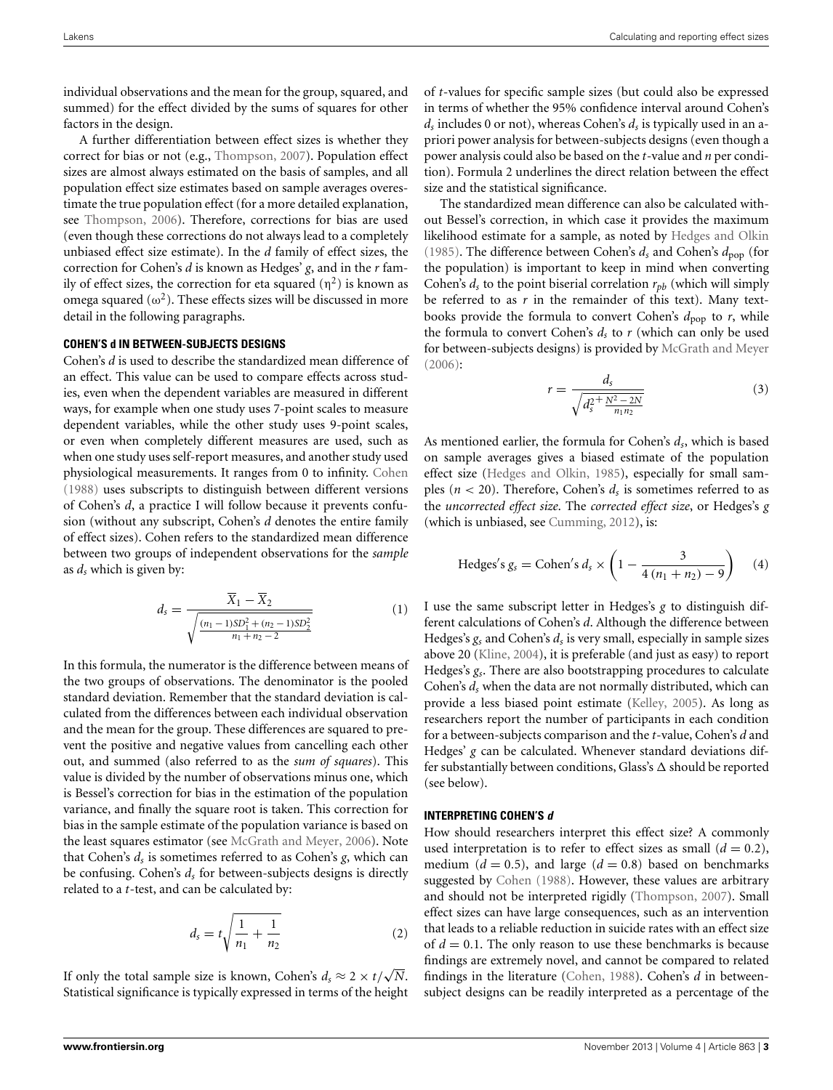individual observations and the mean for the group, squared, and summed) for the effect divided by the sums of squares for other factors in the design.

A further differentiation between effect sizes is whether they correct for bias or not (e.g., [Thompson](#page-11-14), [2007](#page-11-14)). Population effect sizes are almost always estimated on the basis of samples, and all population effect size estimates based on sample averages overestimate the true population effect (for a more detailed explanation, see [Thompson](#page-11-3), [2006\)](#page-11-3). Therefore, corrections for bias are used (even though these corrections do not always lead to a completely unbiased effect size estimate). In the *d* family of effect sizes, the correction for Cohen's *d* is known as Hedges' *g*, and in the *r* family of effect sizes, the correction for eta squared  $(\eta^2)$  is known as omega squared  $(\omega^2)$ . These effects sizes will be discussed in more detail in the following paragraphs.

### **COHEN'S d IN BETWEEN-SUBJECTS DESIGNS**

Cohen's *d* is used to describe the standardized mean difference of an effect. This value can be used to compare effects across studies, even when the dependent variables are measured in different ways, for example when one study uses 7-point scales to measure dependent variables, while the other study uses 9-point scales, or even when completely different measures are used, such as when one study uses self-report measures, and another study used physiological measurements. It ranges from 0 to infinity. [Cohen](#page-11-0) [\(1988\)](#page-11-0) uses subscripts to distinguish between different versions of Cohen's *d*, a practice I will follow because it prevents confusion (without any subscript, Cohen's *d* denotes the entire family of effect sizes). Cohen refers to the standardized mean difference between two groups of independent observations for the *sample* as *ds* which is given by:

$$
d_s = \frac{\overline{X}_1 - \overline{X}_2}{\sqrt{\frac{(n_1 - 1)SD_1^2 + (n_2 - 1)SD_2^2}{n_1 + n_2 - 2}}}
$$
(1)

In this formula, the numerator is the difference between means of the two groups of observations. The denominator is the pooled standard deviation. Remember that the standard deviation is calculated from the differences between each individual observation and the mean for the group. These differences are squared to prevent the positive and negative values from cancelling each other out, and summed (also referred to as the *sum of squares*). This value is divided by the number of observations minus one, which is Bessel's correction for bias in the estimation of the population variance, and finally the square root is taken. This correction for bias in the sample estimate of the population variance is based on the least squares estimator (see [McGrath and Meyer](#page-11-15), [2006](#page-11-15)). Note that Cohen's *ds* is sometimes referred to as Cohen's *g*, which can be confusing. Cohen's *ds* for between-subjects designs is directly related to a *t*-test, and can be calculated by:

$$
d_s = t \sqrt{\frac{1}{n_1} + \frac{1}{n_2}} \tag{2}
$$

If only the total sample size is known, Cohen's  $d_s \approx 2 \times t/\sqrt{N}$ . Statistical significance is typically expressed in terms of the height

of *t*-values for specific sample sizes (but could also be expressed in terms of whether the 95% confidence interval around Cohen's *ds* includes 0 or not), whereas Cohen's *ds* is typically used in an apriori power analysis for between-subjects designs (even though a power analysis could also be based on the *t*-value and *n* per condition). Formula 2 underlines the direct relation between the effect size and the statistical significance.

The standardized mean difference can also be calculated without Bessel's correction, in which case it provides the maximum likelihood estimate for a sample, as noted by [Hedges and Olkin](#page-11-16) [\(1985\)](#page-11-16). The difference between Cohen's  $d_s$  and Cohen's  $d_{\text{pop}}$  (for the population) is important to keep in mind when converting Cohen's  $d_s$  to the point biserial correlation  $r_{pb}$  (which will simply be referred to as  $r$  in the remainder of this text). Many textbooks provide the formula to convert Cohen's  $d_{\text{pop}}$  to *r*, while the formula to convert Cohen's  $d_s$  to  $r$  (which can only be used for between-subjects designs) is provided by [McGrath and Meyer](#page-11-15)  $(2006)$ :

$$
r = \frac{d_s}{\sqrt{d_s^{2 + \frac{N^2 - 2N}{n_1 n_2}}}}
$$
(3)

As mentioned earlier, the formula for Cohen's *ds*, which is based on sample averages gives a biased estimate of the population effect size [\(Hedges and Olkin](#page-11-16), [1985](#page-11-16)), especially for small samples ( $n < 20$ ). Therefore, Cohen's  $d<sub>s</sub>$  is sometimes referred to as the *uncorrected effect size*. The *corrected effect size*, or Hedges's *g* (which is unbiased, see [Cumming](#page-11-5), [2012\)](#page-11-5), is:

Hedges's 
$$
g_s
$$
 = Cohen's  $d_s$  ×  $\left(1 - \frac{3}{4(n_1 + n_2) - 9}\right)$  (4)

I use the same subscript letter in Hedges's *g* to distinguish different calculations of Cohen's *d*. Although the difference between Hedges's *gs* and Cohen's *ds* is very small, especially in sample sizes above 20 [\(Kline, 2004](#page-11-17)), it is preferable (and just as easy) to report Hedges's *gs*. There are also bootstrapping procedures to calculate Cohen's *ds* when the data are not normally distributed, which can provide a less biased point estimate [\(Kelley, 2005](#page-11-18)). As long as researchers report the number of participants in each condition for a between-subjects comparison and the *t*-value, Cohen's *d* and Hedges' *g* can be calculated. Whenever standard deviations differ substantially between conditions, Glass's  $\Delta$  should be reported (see below).

## **INTERPRETING COHEN'S** *d*

How should researchers interpret this effect size? A commonly used interpretation is to refer to effect sizes as small  $(d = 0.2)$ , medium  $(d = 0.5)$ , and large  $(d = 0.8)$  based on benchmarks suggested by [Cohen](#page-11-0) [\(1988\)](#page-11-0). However, these values are arbitrary and should not be interpreted rigidly [\(Thompson](#page-11-14), [2007\)](#page-11-14). Small effect sizes can have large consequences, such as an intervention that leads to a reliable reduction in suicide rates with an effect size of  $d = 0.1$ . The only reason to use these benchmarks is because findings are extremely novel, and cannot be compared to related findings in the literature [\(Cohen](#page-11-0), [1988\)](#page-11-0). Cohen's *d* in betweensubject designs can be readily interpreted as a percentage of the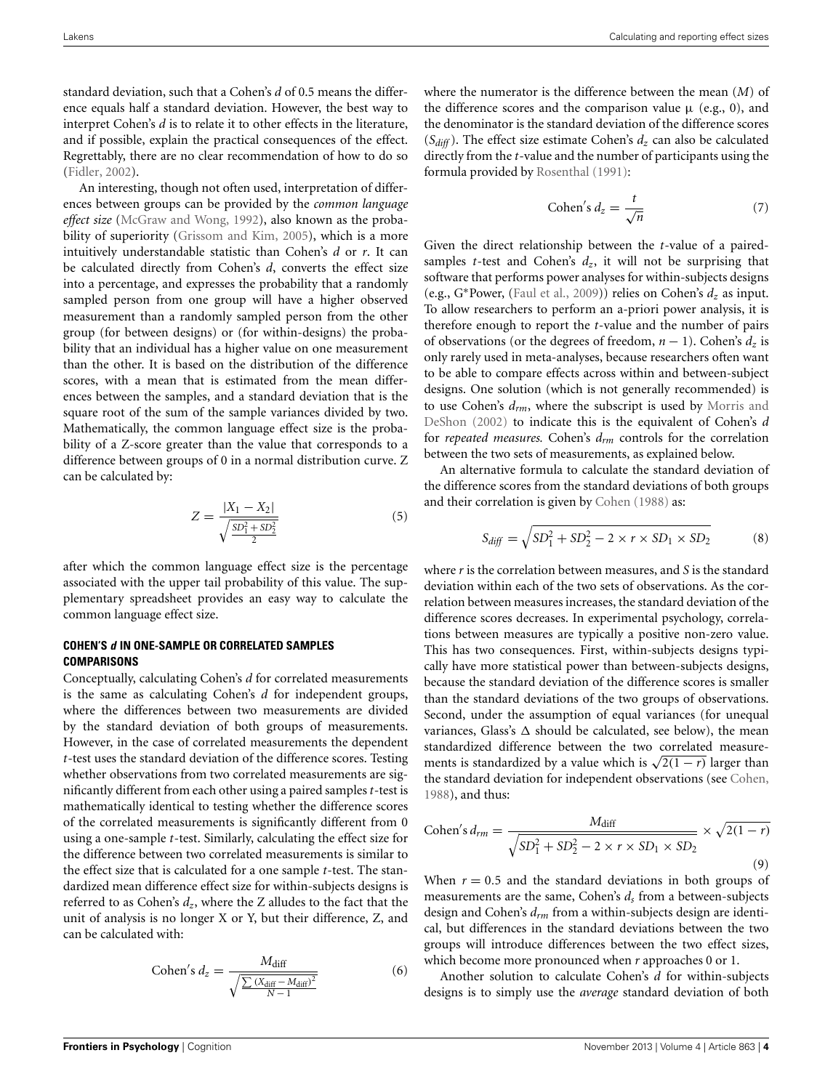standard deviation, such that a Cohen's *d* of 0.5 means the difference equals half a standard deviation. However, the best way to interpret Cohen's *d* is to relate it to other effects in the literature, and if possible, explain the practical consequences of the effect. Regrettably, there are no clear recommendation of how to do so [\(Fidler](#page-11-19), [2002\)](#page-11-19).

An interesting, though not often used, interpretation of differences between groups can be provided by the *common language effect size* [\(McGraw and Wong, 1992](#page-11-20)), also known as the proba-bility of superiority [\(Grissom and Kim, 2005](#page-11-2)), which is a more intuitively understandable statistic than Cohen's *d* or *r*. It can be calculated directly from Cohen's *d*, converts the effect size into a percentage, and expresses the probability that a randomly sampled person from one group will have a higher observed measurement than a randomly sampled person from the other group (for between designs) or (for within-designs) the probability that an individual has a higher value on one measurement than the other. It is based on the distribution of the difference scores, with a mean that is estimated from the mean differences between the samples, and a standard deviation that is the square root of the sum of the sample variances divided by two. Mathematically, the common language effect size is the probability of a Z-score greater than the value that corresponds to a difference between groups of 0 in a normal distribution curve. Z can be calculated by:

$$
Z = \frac{|X_1 - X_2|}{\sqrt{\frac{SD_1^2 + SD_2^2}{2}}}
$$
(5)

after which the common language effect size is the percentage associated with the upper tail probability of this value. The supplementary spreadsheet provides an easy way to calculate the common language effect size.

# **COHEN'S** *d* **IN ONE-SAMPLE OR CORRELATED SAMPLES COMPARISONS**

Conceptually, calculating Cohen's *d* for correlated measurements is the same as calculating Cohen's *d* for independent groups, where the differences between two measurements are divided by the standard deviation of both groups of measurements. However, in the case of correlated measurements the dependent *t*-test uses the standard deviation of the difference scores. Testing whether observations from two correlated measurements are significantly different from each other using a paired samples *t*-test is mathematically identical to testing whether the difference scores of the correlated measurements is significantly different from 0 using a one-sample *t*-test. Similarly, calculating the effect size for the difference between two correlated measurements is similar to the effect size that is calculated for a one sample *t*-test. The standardized mean difference effect size for within-subjects designs is referred to as Cohen's  $d_z$ , where the Z alludes to the fact that the unit of analysis is no longer X or Y, but their difference, Z, and can be calculated with:

Cohen's 
$$
d_z = \frac{M_{\text{diff}}}{\sqrt{\frac{\sum (X_{\text{diff}} - M_{\text{diff}})^2}{N - 1}}}
$$
 (6)

where the numerator is the difference between the mean (*M*) of the difference scores and the comparison value  $\mu$  (e.g., 0), and the denominator is the standard deviation of the difference scores  $(S_{diff})$ . The effect size estimate Cohen's  $d_z$  can also be calculated directly from the *t*-value and the number of participants using the formula provided by [Rosenthal](#page-11-21) [\(1991](#page-11-21)):

Cohen's 
$$
d_z = \frac{t}{\sqrt{n}}
$$
 (7)

Given the direct relationship between the *t*-value of a pairedsamples *t*-test and Cohen's  $d_z$ , it will not be surprising that software that performs power analyses for within-subjects designs (e.g., G∗Power, [\(Faul et al., 2009\)](#page-11-22)) relies on Cohen's *dz* as input. To allow researchers to perform an a-priori power analysis, it is therefore enough to report the *t*-value and the number of pairs of observations (or the degrees of freedom,  $n - 1$ ). Cohen's  $d_z$  is only rarely used in meta-analyses, because researchers often want to be able to compare effects across within and between-subject designs. One solution (which is not generally recommended) is to use Cohen's *drm*[,](#page-11-23) [where](#page-11-23) [the](#page-11-23) [subscript](#page-11-23) [is](#page-11-23) [used](#page-11-23) [by](#page-11-23) Morris and DeShon [\(2002](#page-11-23)) to indicate this is the equivalent of Cohen's *d* for *repeated measures.* Cohen's *drm* controls for the correlation between the two sets of measurements, as explained below.

An alternative formula to calculate the standard deviation of the difference scores from the standard deviations of both groups and their correlation is given by [Cohen](#page-11-0) [\(1988\)](#page-11-0) as:

$$
S_{diff} = \sqrt{SD_1^2 + SD_2^2 - 2 \times r \times SD_1 \times SD_2}
$$
 (8)

where *r* is the correlation between measures, and *S* is the standard deviation within each of the two sets of observations. As the correlation between measures increases, the standard deviation of the difference scores decreases. In experimental psychology, correlations between measures are typically a positive non-zero value. This has two consequences. First, within-subjects designs typically have more statistical power than between-subjects designs, because the standard deviation of the difference scores is smaller than the standard deviations of the two groups of observations. Second, under the assumption of equal variances (for unequal variances, Glass's  $\Delta$  should be calculated, see below), the mean standardized difference between the two correlated measurements is standardized by a value which is  $\sqrt{2(1 - r)}$  larger than the standard deviation for independent observations (see [Cohen](#page-11-0), [1988](#page-11-0)), and thus:

Cohen's 
$$
d_{rm} = \frac{M_{\text{diff}}}{\sqrt{SD_1^2 + SD_2^2 - 2 \times r \times SD_1 \times SD_2}} \times \sqrt{2(1-r)}
$$
 (9)

When  $r = 0.5$  and the standard deviations in both groups of measurements are the same, Cohen's *ds* from a between-subjects design and Cohen's *drm* from a within-subjects design are identical, but differences in the standard deviations between the two groups will introduce differences between the two effect sizes, which become more pronounced when  $r$  approaches 0 or 1.

Another solution to calculate Cohen's *d* for within-subjects designs is to simply use the *average* standard deviation of both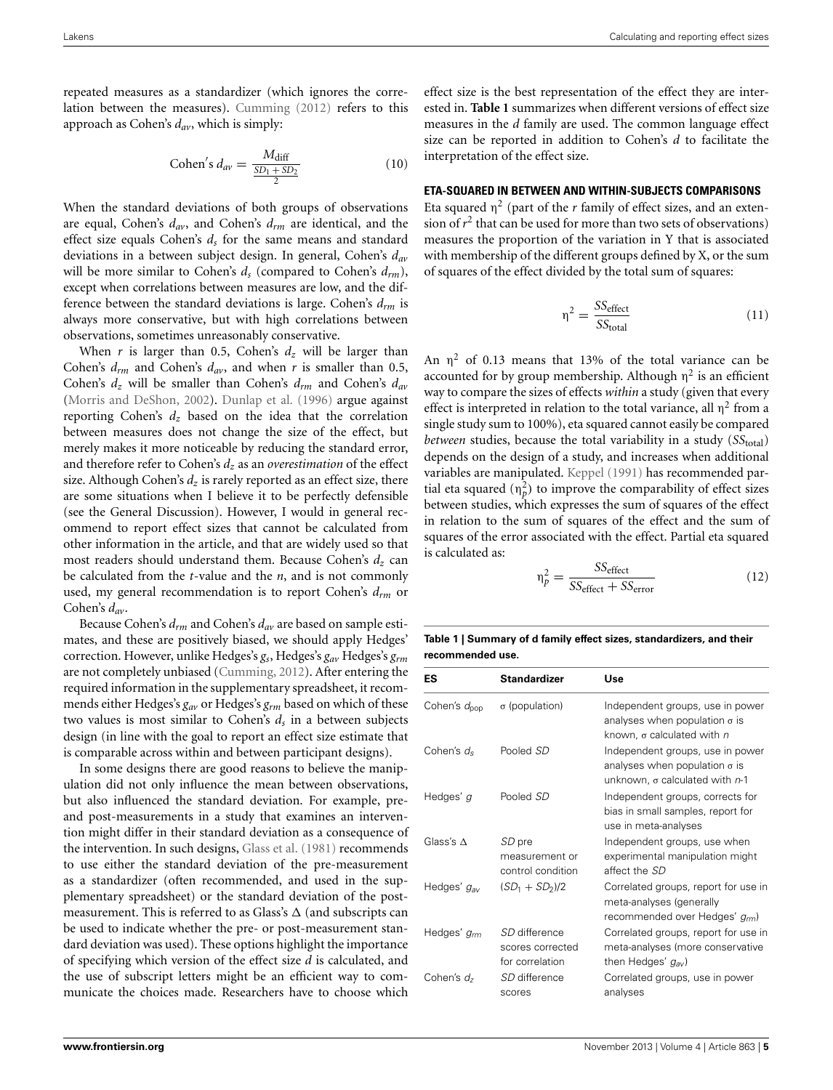repeated measures as a standardizer (which ignores the correlation between the measures). [Cumming](#page-11-5) [\(2012](#page-11-5)) refers to this approach as Cohen's *dav*, which is simply:

Cohen's 
$$
d_{av} = \frac{M_{\text{diff}}}{\frac{SD_1 + SD_2}{2}}
$$
 (10)

When the standard deviations of both groups of observations are equal, Cohen's *dav*, and Cohen's *drm* are identical, and the effect size equals Cohen's  $d<sub>s</sub>$  for the same means and standard deviations in a between subject design. In general, Cohen's *dav* will be more similar to Cohen's  $d_s$  (compared to Cohen's  $d_{rm}$ ), except when correlations between measures are low, and the difference between the standard deviations is large. Cohen's *drm* is always more conservative, but with high correlations between observations, sometimes unreasonably conservative.

When *r* is larger than 0.5, Cohen's *dz* will be larger than Cohen's *drm* and Cohen's *dav*, and when *r* is smaller than 0.5, Cohen's *dz* will be smaller than Cohen's *drm* and Cohen's *dav* [\(Morris and DeShon](#page-11-23), [2002\)](#page-11-23). [Dunlap et al.](#page-11-9) [\(1996](#page-11-9)) argue against reporting Cohen's *dz* based on the idea that the correlation between measures does not change the size of the effect, but merely makes it more noticeable by reducing the standard error, and therefore refer to Cohen's  $d_z$  as an *overestimation* of the effect size. Although Cohen's  $d_z$  is rarely reported as an effect size, there are some situations when I believe it to be perfectly defensible (see the General Discussion). However, I would in general recommend to report effect sizes that cannot be calculated from other information in the article, and that are widely used so that most readers should understand them. Because Cohen's *dz* can be calculated from the *t*-value and the *n*, and is not commonly used, my general recommendation is to report Cohen's *drm* or Cohen's *dav*.

Because Cohen's *drm* and Cohen's *dav* are based on sample estimates, and these are positively biased, we should apply Hedges' correction. However, unlike Hedges's *gs*, Hedges's *gav* Hedges's *grm* are not completely unbiased [\(Cumming](#page-11-5), [2012\)](#page-11-5). After entering the required information in the supplementary spreadsheet, it recommends either Hedges's *gav* or Hedges's *grm* based on which of these two values is most similar to Cohen's *ds* in a between subjects design (in line with the goal to report an effect size estimate that is comparable across within and between participant designs).

In some designs there are good reasons to believe the manipulation did not only influence the mean between observations, but also influenced the standard deviation. For example, preand post-measurements in a study that examines an intervention might differ in their standard deviation as a consequence of the intervention. In such designs, [Glass et al.](#page-11-24) [\(1981\)](#page-11-24) recommends to use either the standard deviation of the pre-measurement as a standardizer (often recommended, and used in the supplementary spreadsheet) or the standard deviation of the postmeasurement. This is referred to as Glass's  $\Delta$  (and subscripts can be used to indicate whether the pre- or post-measurement standard deviation was used). These options highlight the importance of specifying which version of the effect size *d* is calculated, and the use of subscript letters might be an efficient way to communicate the choices made. Researchers have to choose which

effect size is the best representation of the effect they are interested in. **[Table 1](#page-5-0)** summarizes when different versions of effect size measures in the *d* family are used. The common language effect size can be reported in addition to Cohen's *d* to facilitate the interpretation of the effect size.

### **ETA-SQUARED IN BETWEEN AND WITHIN-SUBJECTS COMPARISONS**

Eta squared  $\eta^2$  (part of the *r* family of effect sizes, and an extension of  $r^2$  that can be used for more than two sets of observations) measures the proportion of the variation in Y that is associated with membership of the different groups defined by X, or the sum of squares of the effect divided by the total sum of squares:

$$
\eta^2 = \frac{SS_{\text{effect}}}{SS_{\text{total}}} \tag{11}
$$

An  $\eta^2$  of 0.13 means that 13% of the total variance can be accounted for by group membership. Although  $\eta^2$  is an efficient way to compare the sizes of effects *within* a study (given that every effect is interpreted in relation to the total variance, all  $\eta^2$  from a single study sum to 100%), eta squared cannot easily be compared *between* studies, because the total variability in a study (SStotal) depends on the design of a study, and increases when additional variables are manipulated. [Keppel](#page-11-25) [\(1991\)](#page-11-25) has recommended partial eta squared  $(\eta_p^2)$  to improve the comparability of effect sizes between studies, which expresses the sum of squares of the effect in relation to the sum of squares of the effect and the sum of squares of the error associated with the effect. Partial eta squared is calculated as:

$$
\eta_p^2 = \frac{SS_{\text{effect}}}{SS_{\text{effect}} + SS_{\text{error}}}
$$
(12)

<span id="page-5-0"></span>**Table 1 | Summary of d family effect sizes, standardizers, and their recommended use.**

| ES                       | <b>Standardizer</b>                                  | Use                                                                                                                 |  |
|--------------------------|------------------------------------------------------|---------------------------------------------------------------------------------------------------------------------|--|
| Cohen's d <sub>pop</sub> | $\sigma$ (population)                                | Independent groups, use in power<br>analyses when population $\sigma$ is<br>known, $\sigma$ calculated with $n$     |  |
| Cohen's $d_s$            | Pooled SD                                            | Independent groups, use in power<br>analyses when population $\sigma$ is<br>unknown, $\sigma$ calculated with $n-1$ |  |
| Hedges' g                | Pooled SD                                            | Independent groups, corrects for<br>bias in small samples, report for<br>use in meta-analyses                       |  |
| Glass's $\Lambda$        | SD pre<br>measurement or<br>control condition        | Independent groups, use when<br>experimental manipulation might<br>affect the SD                                    |  |
| Hedges' g <sub>av</sub>  | $(SD_1 + SD_2)/2$                                    | Correlated groups, report for use in<br>meta-analyses (generally<br>recommended over Hedges' grm)                   |  |
| Hedges' g <sub>rm</sub>  | SD difference<br>scores corrected<br>for correlation | Correlated groups, report for use in<br>meta-analyses (more conservative<br>then Hedges' $g_{av}$ )                 |  |
| Cohen's $d_7$            | SD difference<br>scores                              | Correlated groups, use in power<br>analyses                                                                         |  |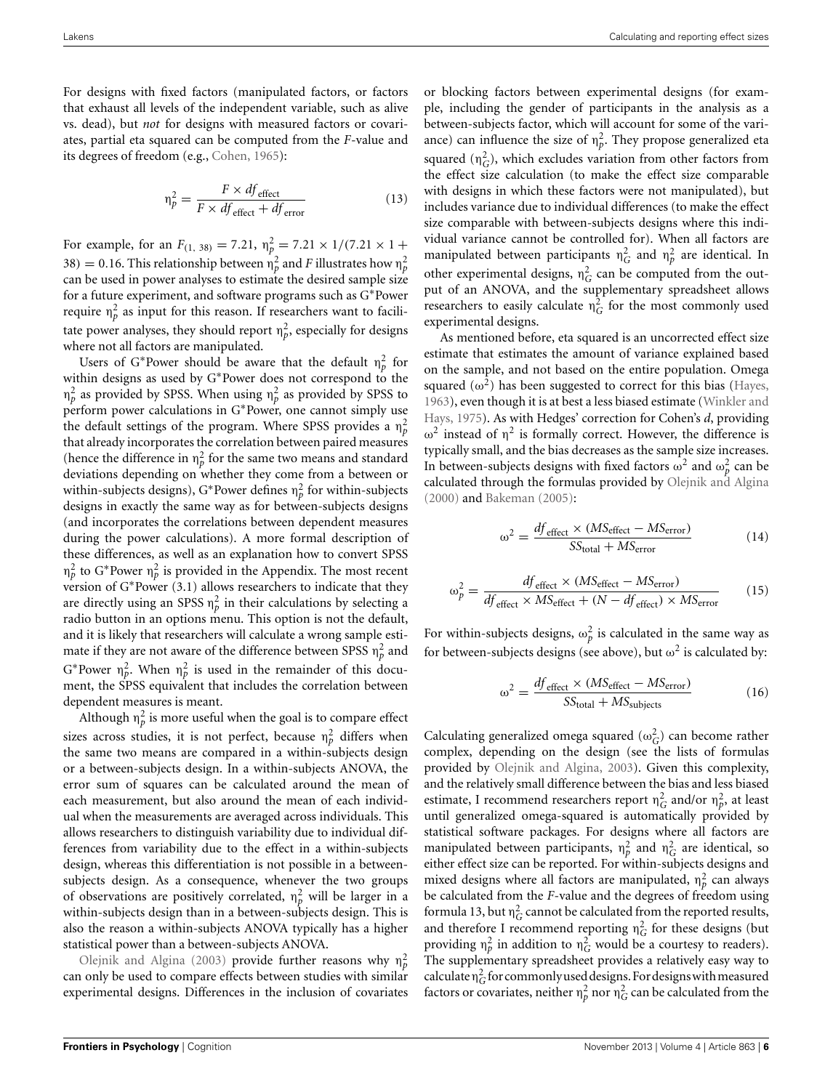For designs with fixed factors (manipulated factors, or factors that exhaust all levels of the independent variable, such as alive vs. dead), but *not* for designs with measured factors or covariates, partial eta squared can be computed from the *F*-value and its degrees of freedom (e.g., [Cohen, 1965](#page-11-26)):

$$
\eta_p^2 = \frac{F \times df_{\text{effect}}}{F \times df_{\text{effect}} + df_{\text{error}}}
$$
(13)

For example, for an  $F_{(1, 38)} = 7.21$ ,  $\eta_p^2 = 7.21 \times 1/(7.21 \times 1 +$ 38) = 0.16. This relationship between  $\eta_p^2$  and *F* illustrates how  $\eta_p^2$ can be used in power analyses to estimate the desired sample size for a future experiment, and software programs such as G∗Power require  $\eta_p^2$  as input for this reason. If researchers want to facilitate power analyses, they should report  $\eta_p^2$ , especially for designs where not all factors are manipulated.

Users of G<sup>\*</sup>Power should be aware that the default  $\eta_p^2$  for within designs as used by G∗Power does not correspond to the  $η<sub>p</sub><sup>2</sup>$  as provided by SPSS. When using  $η<sub>p</sub><sup>2</sup>$  as provided by SPSS to perform power calculations in G∗Power, one cannot simply use the default settings of the program. Where SPSS provides a  $\eta_p^2$ that already incorporates the correlation between paired measures (hence the difference in  $\eta_p^2$  for the same two means and standard deviations depending on whether they come from a between or within-subjects designs), G\*Power defines  $\eta_p^2$  for within-subjects designs in exactly the same way as for between-subjects designs (and incorporates the correlations between dependent measures during the power calculations). A more formal description of these differences, as well as an explanation how to convert SPSS  $η<sub>p</sub><sup>2</sup>$  to G\*Power  $η<sub>p</sub><sup>2</sup>$  is provided in the Appendix. The most recent version of G∗Power (3.1) allows researchers to indicate that they are directly using an SPSS  $\eta_p^2$  in their calculations by selecting a radio button in an options menu. This option is not the default, and it is likely that researchers will calculate a wrong sample estimate if they are not aware of the difference between SPSS  $\eta_p^2$  and  $G^*$ Power  $\eta_p^2$ . When  $\eta_p^2$  is used in the remainder of this document, the SPSS equivalent that includes the correlation between dependent measures is meant.

Although  $\eta_p^2$  is more useful when the goal is to compare effect sizes across studies, it is not perfect, because  $\eta_p^2$  differs when the same two means are compared in a within-subjects design or a between-subjects design. In a within-subjects ANOVA, the error sum of squares can be calculated around the mean of each measurement, but also around the mean of each individual when the measurements are averaged across individuals. This allows researchers to distinguish variability due to individual differences from variability due to the effect in a within-subjects design, whereas this differentiation is not possible in a betweensubjects design. As a consequence, whenever the two groups of observations are positively correlated,  $\eta_p^2$  will be larger in a within-subjects design than in a between-subjects design. This is also the reason a within-subjects ANOVA typically has a higher [statistical](#page-11-10) [power](#page-11-10) [than](#page-11-10) [a](#page-11-10) between-subjects ANOVA.

Olejnik and Algina [\(2003](#page-11-10)) provide further reasons why  $\eta_p^2$ can only be used to compare effects between studies with similar experimental designs. Differences in the inclusion of covariates or blocking factors between experimental designs (for example, including the gender of participants in the analysis as a between-subjects factor, which will account for some of the variance) can influence the size of  $\eta_p^2$ . They propose generalized eta squared  $(\eta_G^2)$ , which excludes variation from other factors from the effect size calculation (to make the effect size comparable with designs in which these factors were not manipulated), but includes variance due to individual differences (to make the effect size comparable with between-subjects designs where this individual variance cannot be controlled for). When all factors are manipulated between participants  $\eta_G^2$  and  $\eta_p^2$  are identical. In other experimental designs,  $\eta_G^2$  can be computed from the output of an ANOVA, and the supplementary spreadsheet allows researchers to easily calculate  $\eta_G^2$  for the most commonly used experimental designs.

As mentioned before, eta squared is an uncorrected effect size estimate that estimates the amount of variance explained based on the sample, and not based on the entire population. Omega squared  $(\omega^2)$  has been suggested to correct for this bias [\(Hayes](#page-11-27), [1963](#page-11-27)[\), even though it is at best a less biased estimate \(](#page-11-28)Winkler and Hays, [1975\)](#page-11-28). As with Hedges' correction for Cohen's *d*, providing  $ω<sup>2</sup>$  instead of  $η<sup>2</sup>$  is formally correct. However, the difference is typically small, and the bias decreases as the sample size increases. In between-subjects designs with fixed factors  $\omega^2$  and  $\omega_p^2$  can be calculated through the formulas provided by [Olejnik and Algina](#page-11-29) [\(2000\)](#page-11-29) and [Bakeman](#page-10-3) [\(2005](#page-10-3)):

$$
\omega^2 = \frac{df_{\text{effect}} \times (MS_{\text{effect}} - MS_{\text{error}})}{SS_{\text{total}} + MS_{\text{error}}}
$$
(14)

$$
\omega_p^2 = \frac{df_{\text{effect}} \times (MS_{\text{effect}} - MS_{\text{error}})}{df_{\text{effect}} \times MS_{\text{effect}} + (N - df_{\text{effect}}) \times MS_{\text{error}}}
$$
(15)

For within-subjects designs,  $\omega_p^2$  is calculated in the same way as for between-subjects designs (see above), but  $\omega^2$  is calculated by:

$$
\omega^2 = \frac{df_{\text{effect}} \times (MS_{\text{effect}} - MS_{\text{error}})}{SS_{\text{total}} + MS_{\text{subjects}}}
$$
(16)

Calculating generalized omega squared  $(\omega_G^2)$  can become rather complex, depending on the design (see the lists of formulas provided by [Olejnik and Algina, 2003\)](#page-11-10). Given this complexity, and the relatively small difference between the bias and less biased estimate, I recommend researchers report  $\eta_G^2$  and/or  $\eta_p^2$ , at least until generalized omega-squared is automatically provided by statistical software packages. For designs where all factors are manipulated between participants,  $n_p^2$  and  $n_G^2$  are identical, so either effect size can be reported. For within-subjects designs and mixed designs where all factors are manipulated,  $\eta_p^2$  can always be calculated from the *F*-value and the degrees of freedom using formula 13, but  $\eta_G^2$  cannot be calculated from the reported results, and therefore I recommend reporting  $\eta_G^2$  for these designs (but providing  $\eta_p^2$  in addition to  $\eta_G^2$  would be a courtesy to readers). The supplementary spreadsheet provides a relatively easy way to calculate  $\eta_G^2$  for commonly used designs. For designs with measured factors or covariates, neither  $\eta_p^2$  nor  $\eta_G^2$  can be calculated from the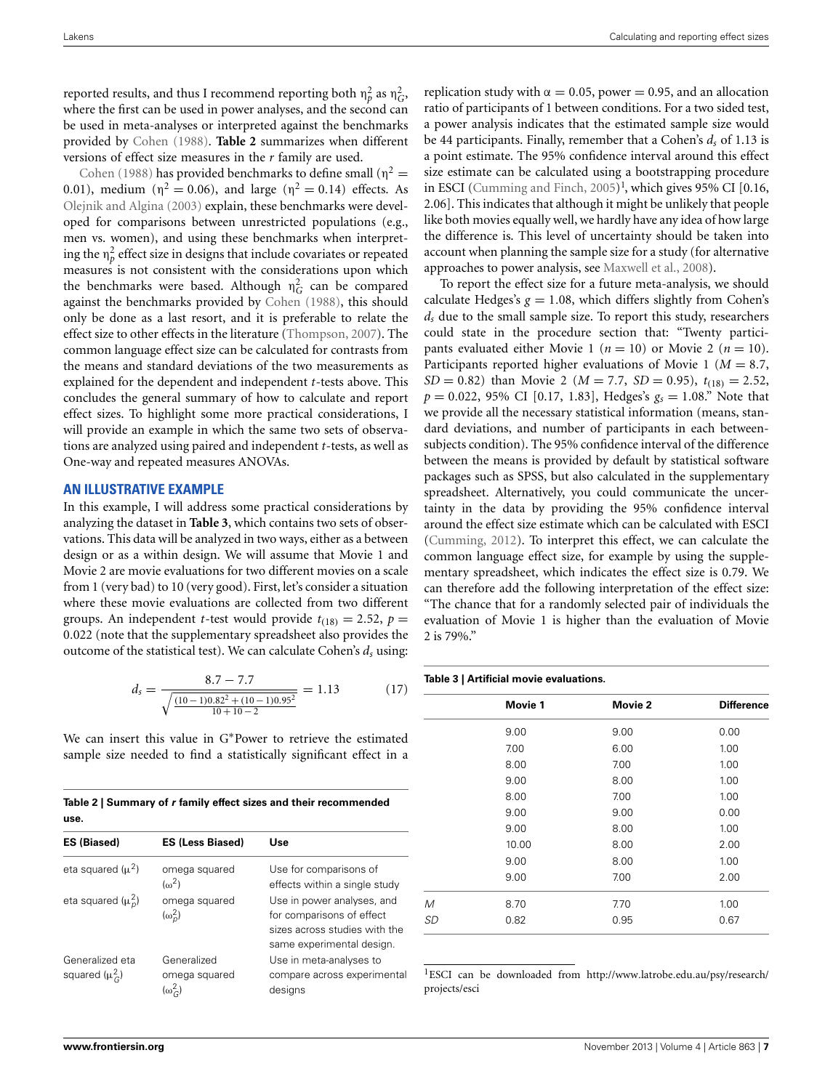reported results, and thus I recommend reporting both  $\eta_p^2$  as  $\eta_G^2$ , where the first can be used in power analyses, and the second can be used in meta-analyses or interpreted against the benchmarks provided by [Cohen](#page-11-0) [\(1988](#page-11-0)). **[Table 2](#page-7-0)** summarizes when different [versions](#page-11-0) [o](#page-11-0)f effect size measures in the *r* family are used.

Cohen [\(1988\)](#page-11-0) has provided benchmarks to define small ( $\eta^2$  = 0.01), medium ( $\eta^2 = 0.06$ ), and large ( $\eta^2 = 0.14$ ) effects. As [Olejnik and Algina](#page-11-10) [\(2003\)](#page-11-10) explain, these benchmarks were developed for comparisons between unrestricted populations (e.g., men vs. women), and using these benchmarks when interpreting the  $\eta_p^2$  effect size in designs that include covariates or repeated measures is not consistent with the considerations upon which the benchmarks were based. Although  $\eta_G^2$  can be compared against the benchmarks provided by [Cohen](#page-11-0) [\(1988\)](#page-11-0), this should only be done as a last resort, and it is preferable to relate the effect size to other effects in the literature [\(Thompson, 2007](#page-11-14)). The common language effect size can be calculated for contrasts from the means and standard deviations of the two measurements as explained for the dependent and independent *t*-tests above. This concludes the general summary of how to calculate and report effect sizes. To highlight some more practical considerations, I will provide an example in which the same two sets of observations are analyzed using paired and independent *t*-tests, as well as One-way and repeated measures ANOVAs.

#### **AN ILLUSTRATIVE EXAMPLE**

In this example, I will address some practical considerations by analyzing the dataset in **[Table 3](#page-7-1)**, which contains two sets of observations. This data will be analyzed in two ways, either as a between design or as a within design. We will assume that Movie 1 and Movie 2 are movie evaluations for two different movies on a scale from 1 (very bad) to 10 (very good). First, let's consider a situation where these movie evaluations are collected from two different groups. An independent *t*-test would provide  $t_{(18)} = 2.52$ ,  $p =$ 0.022 (note that the supplementary spreadsheet also provides the outcome of the statistical test). We can calculate Cohen's *ds* using:

$$
d_s = \frac{8.7 - 7.7}{\sqrt{\frac{(10 - 1)0.82^2 + (10 - 1)0.95^2}{10 + 10 - 2}}} = 1.13
$$
 (17)

We can insert this value in G∗Power to retrieve the estimated sample size needed to find a statistically significant effect in a

<span id="page-7-0"></span>**Table 2 | Summary of** *r* **family effect sizes and their recommended use.**

| <b>ES (Biased)</b>                     | <b>ES (Less Biased)</b>                              | Use                                                                                                                   |
|----------------------------------------|------------------------------------------------------|-----------------------------------------------------------------------------------------------------------------------|
| eta squared $(\mu^2)$                  | omega squared<br>$(\omega^2)$                        | Use for comparisons of<br>effects within a single study                                                               |
| eta squared $(\mu_n^2)$                | omega squared<br>$(\omega_n^2)$                      | Use in power analyses, and<br>for comparisons of effect<br>sizes across studies with the<br>same experimental design. |
| Generalized eta<br>squared $(\mu_G^2)$ | Generalized<br>omega squared<br>$(\omega_{\odot}^2)$ | Use in meta-analyses to<br>compare across experimental<br>designs                                                     |

<span id="page-7-2"></span>replication study with  $\alpha = 0.05$ , power = 0.95, and an allocation ratio of participants of 1 between conditions. For a two sided test, a power analysis indicates that the estimated sample size would be 44 participants. Finally, remember that a Cohen's *ds* of 1.13 is a point estimate. The 95% confidence interval around this effect size estimate can be calculated using a bootstrapping procedure in ESCI [\(Cumming and Finch](#page-11-30),  $2005$ )<sup>[1](#page-7-2)</sup>, which gives 95% CI [0.16, 2.06]. This indicates that although it might be unlikely that people like both movies equally well, we hardly have any idea of how large the difference is. This level of uncertainty should be taken into account when planning the sample size for a study (for alternative approaches to power analysis, see [Maxwell et al., 2008](#page-11-31)).

To report the effect size for a future meta-analysis, we should calculate Hedges's  $g = 1.08$ , which differs slightly from Cohen's *ds* due to the small sample size. To report this study, researchers could state in the procedure section that: "Twenty participants evaluated either Movie 1 ( $n = 10$ ) or Movie 2 ( $n = 10$ ). Participants reported higher evaluations of Movie 1 (*M* = 8.7, *SD* = 0.82) than Movie 2 ( $M = 7.7$ , *SD* = 0.95),  $t_{(18)} = 2.52$ ,  $p = 0.022$ , 95% CI [0.17, 1.83], Hedges's  $g_s = 1.08$ ." Note that we provide all the necessary statistical information (means, standard deviations, and number of participants in each betweensubjects condition). The 95% confidence interval of the difference between the means is provided by default by statistical software packages such as SPSS, but also calculated in the supplementary spreadsheet. Alternatively, you could communicate the uncertainty in the data by providing the 95% confidence interval around the effect size estimate which can be calculated with ESCI [\(Cumming, 2012](#page-11-5)). To interpret this effect, we can calculate the common language effect size, for example by using the supplementary spreadsheet, which indicates the effect size is 0.79. We can therefore add the following interpretation of the effect size: "The chance that for a randomly selected pair of individuals the evaluation of Movie 1 is higher than the evaluation of Movie 2 is 79%."

#### <span id="page-7-1"></span>**Table 3 | Artificial movie evaluations.**

|    | Movie 1 | Movie 2 | <b>Difference</b> |
|----|---------|---------|-------------------|
|    | 9.00    | 9.00    | 0.00              |
|    | 7.00    | 6.00    | 1.00              |
|    | 8.00    | 7.00    | 1.00              |
|    | 9.00    | 8.00    | 1.00              |
|    | 8.00    | 7.00    | 1.00              |
|    | 9.00    | 9.00    | 0.00              |
|    | 9.00    | 8.00    | 1.00              |
|    | 10.00   | 8.00    | 2.00              |
|    | 9.00    | 8.00    | 1.00              |
|    | 9.00    | 7.00    | 2.00              |
| M  | 8.70    | 7.70    | 1.00              |
| SD | 0.82    | 0.95    | 0.67              |

1ESCI can be downloaded from http://www.latrobe.edu.[au/psy/research/](http://www.latrobe.edu.au/psy/research/projects/esci) [projects/esci](http://www.latrobe.edu.au/psy/research/projects/esci)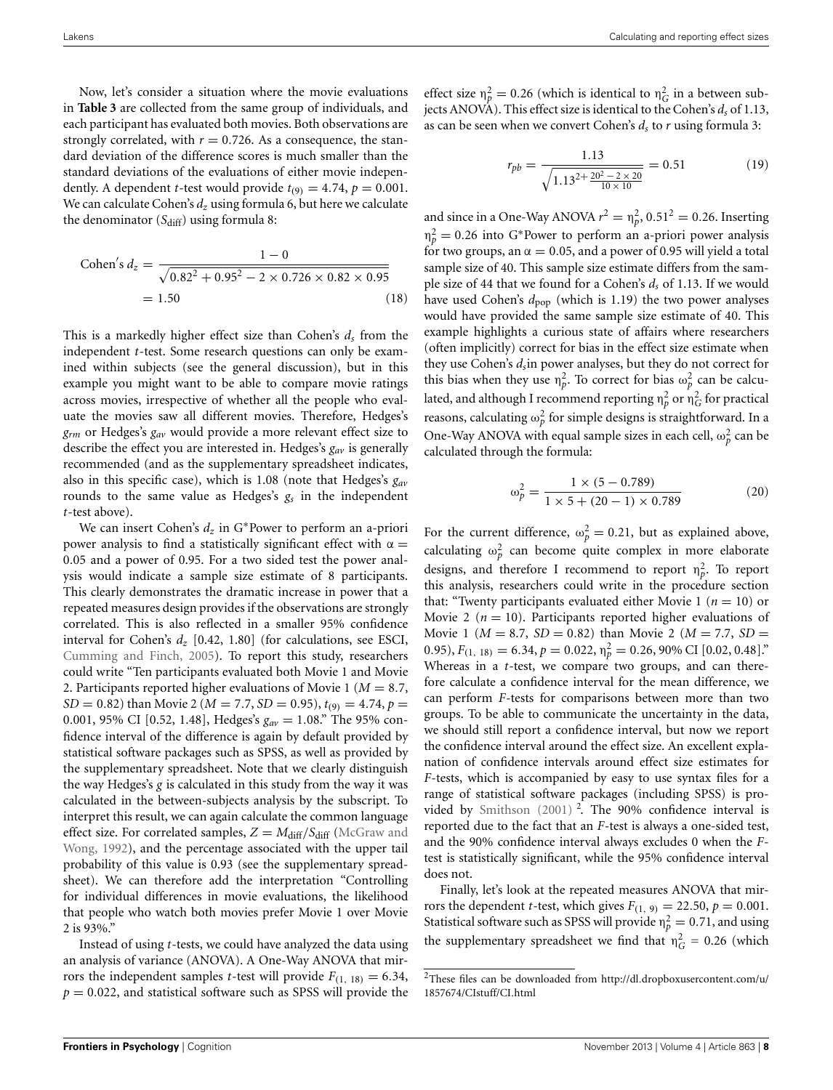Now, let's consider a situation where the movie evaluations in **[Table 3](#page-7-1)** are collected from the same group of individuals, and each participant has evaluated both movies. Both observations are strongly correlated, with  $r = 0.726$ . As a consequence, the standard deviation of the difference scores is much smaller than the standard deviations of the evaluations of either movie independently. A dependent *t*-test would provide  $t_{(9)} = 4.74$ ,  $p = 0.001$ . We can calculate Cohen's  $d_z$  using formula 6, but here we calculate the denominator  $(S_{diff})$  using formula 8:

Cohen's 
$$
d_z = \frac{1 - 0}{\sqrt{0.82^2 + 0.95^2 - 2 \times 0.726 \times 0.82 \times 0.95}}
$$
  
= 1.50 (18)

This is a markedly higher effect size than Cohen's  $d_s$  from the independent *t*-test. Some research questions can only be examined within subjects (see the general discussion), but in this example you might want to be able to compare movie ratings across movies, irrespective of whether all the people who evaluate the movies saw all different movies. Therefore, Hedges's *grm* or Hedges's *gav* would provide a more relevant effect size to describe the effect you are interested in. Hedges's *gav* is generally recommended (and as the supplementary spreadsheet indicates, also in this specific case), which is 1.08 (note that Hedges's *gav* rounds to the same value as Hedges's *gs* in the independent *t*-test above).

We can insert Cohen's *dz* in G∗Power to perform an a-priori power analysis to find a statistically significant effect with  $\alpha =$ 0.05 and a power of 0.95. For a two sided test the power analysis would indicate a sample size estimate of 8 participants. This clearly demonstrates the dramatic increase in power that a repeated measures design provides if the observations are strongly correlated. This is also reflected in a smaller 95% confidence interval for Cohen's *dz* [0.42, 1.80] (for calculations, see ESCI, [Cumming and Finch](#page-11-30), [2005](#page-11-30)). To report this study, researchers could write "Ten participants evaluated both Movie 1 and Movie 2. Participants reported higher evaluations of Movie 1 (*M* = 8.7, *SD* = 0.82) than Movie 2 ( $M = 7.7$ , *SD* = 0.95),  $t_{(9)} = 4.74$ ,  $p =$ 0.001, 95% CI [0.52, 1.48], Hedges's *gav* = 1.08." The 95% confidence interval of the difference is again by default provided by statistical software packages such as SPSS, as well as provided by the supplementary spreadsheet. Note that we clearly distinguish the way Hedges's *g* is calculated in this study from the way it was calculated in the between-subjects analysis by the subscript. To interpret this result, we can again calculate the common language effect [size. For correlated samples,](#page-11-20)  $Z = M_{\text{diff}}/S_{\text{diff}}$  (McGraw and Wong, [1992](#page-11-20)), and the percentage associated with the upper tail probability of this value is 0.93 (see the supplementary spreadsheet). We can therefore add the interpretation "Controlling for individual differences in movie evaluations, the likelihood that people who watch both movies prefer Movie 1 over Movie 2 is 93%."

Instead of using *t*-tests, we could have analyzed the data using an analysis of variance (ANOVA). A One-Way ANOVA that mirrors the independent samples *t*-test will provide  $F_{(1, 18)} = 6.34$ ,  $p = 0.022$ , and statistical software such as SPSS will provide the

effect size  $\eta_p^2 = 0.26$  (which is identical to  $\eta_G^2$  in a between subjects ANOVA). This effect size is identical to the Cohen's *ds* of 1.13, as can be seen when we convert Cohen's *ds* to *r* using formula 3:

$$
r_{pb} = \frac{1.13}{\sqrt{1.13^{2 + \frac{20^{2} - 2 \times 20}{10 \times 10}}} = 0.51
$$
 (19)

and since in a One-Way ANOVA  $r^2 = \eta_p^2$ , 0.51<sup>2</sup> = 0.26. Inserting  $\eta_p^2 = 0.26$  into G\*Power to perform an a-priori power analysis for two groups, an  $\alpha = 0.05$ , and a power of 0.95 will yield a total sample size of 40. This sample size estimate differs from the sample size of 44 that we found for a Cohen's *ds* of 1.13. If we would have used Cohen's  $d_{\text{pop}}$  (which is 1.19) the two power analyses would have provided the same sample size estimate of 40. This example highlights a curious state of affairs where researchers (often implicitly) correct for bias in the effect size estimate when they use Cohen's *ds*in power analyses, but they do not correct for this bias when they use  $\eta_p^2$ . To correct for bias  $\omega_p^2$  can be calculated, and although I recommend reporting  $\eta_p^2$  or  $\eta_G^2$  for practical reasons, calculating  $\omega_p^2$  for simple designs is straightforward. In a One-Way ANOVA with equal sample sizes in each cell,  $\omega_p^2$  can be calculated through the formula:

$$
\omega_p^2 = \frac{1 \times (5 - 0.789)}{1 \times 5 + (20 - 1) \times 0.789}
$$
 (20)

For the current difference,  $\omega_p^2 = 0.21$ , but as explained above, calculating  $\omega_p^2$  can become quite complex in more elaborate designs, and therefore I recommend to report  $\eta_p^2$ . To report this analysis, researchers could write in the procedure section that: "Twenty participants evaluated either Movie 1 ( $n = 10$ ) or Movie 2 ( $n = 10$ ). Participants reported higher evaluations of Movie 1 ( $M = 8.7$ ,  $SD = 0.82$ ) than Movie 2 ( $M = 7.7$ ,  $SD =$ 0.95),  $F_{(1, 18)} = 6.34, p = 0.022, \eta_p^2 = 0.26, 90\% \text{ CI } [0.02, 0.48].$ Whereas in a *t*-test, we compare two groups, and can therefore calculate a confidence interval for the mean difference, we can perform *F*-tests for comparisons between more than two groups. To be able to communicate the uncertainty in the data, we should still report a confidence interval, but now we report the confidence interval around the effect size. An excellent explanation of confidence intervals around effect size estimates for *F*-tests, which is accompanied by easy to use syntax files for a range of statistical software packages (including SPSS) is pro-vided by [Smithson](#page-11-8)  $(2001)$ <sup>[2](#page-8-0)</sup>. The 90% confidence interval is reported due to the fact that an *F*-test is always a one-sided test, and the 90% confidence interval always excludes 0 when the *F*test is statistically significant, while the 95% confidence interval does not.

<span id="page-8-0"></span>Finally, let's look at the repeated measures ANOVA that mirrors the dependent *t*-test, which gives  $F_{(1, 9)} = 22.50$ ,  $p = 0.001$ . Statistical software such as SPSS will provide  $\eta_p^2 = 0.71$ , and using the supplementary spreadsheet we find that  $\eta_G^2 = 0.26$  (which

<sup>2</sup>These files can be downloaded from http://dl.[dropboxusercontent](http://dl.dropboxusercontent.com/u/1857674/CIstuff/CI.html).com/u/ [1857674/CIstuff/CI](http://dl.dropboxusercontent.com/u/1857674/CIstuff/CI.html).html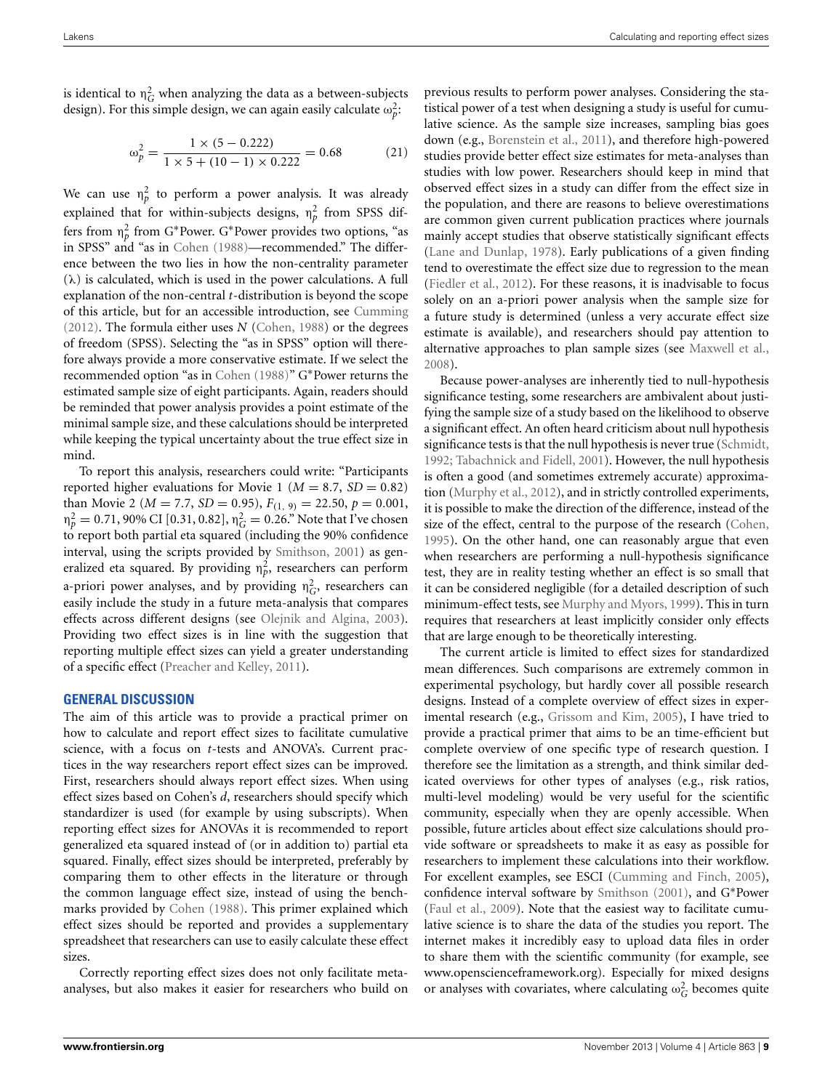is identical to  $\eta_G^2$  when analyzing the data as a between-subjects design). For this simple design, we can again easily calculate  $\omega_p^2$ :

$$
\omega_p^2 = \frac{1 \times (5 - 0.222)}{1 \times 5 + (10 - 1) \times 0.222} = 0.68
$$
 (21)

We can use  $\eta_p^2$  to perform a power analysis. It was already explained that for within-subjects designs,  $\eta_p^2$  from SPSS differs from  $\eta_p^2$  from G\*Power. G\*Power provides two options, "as in SPSS" and "as in [Cohen](#page-11-0) [\(1988](#page-11-0))—recommended." The difference between the two lies in how the non-centrality parameter  $(\lambda)$  is calculated, which is used in the power calculations. A full explanation of the non-central *t*-distribution is beyond the scope of this article, but for an accessible introduction, see [Cumming](#page-11-5) [\(2012\)](#page-11-5). The formula either uses *N* [\(Cohen, 1988\)](#page-11-0) or the degrees of freedom (SPSS). Selecting the "as in SPSS" option will therefore always provide a more conservative estimate. If we select the recommended option "as in [Cohen](#page-11-0) [\(1988](#page-11-0))" G∗Power returns the estimated sample size of eight participants. Again, readers should be reminded that power analysis provides a point estimate of the minimal sample size, and these calculations should be interpreted while keeping the typical uncertainty about the true effect size in mind.

To report this analysis, researchers could write: "Participants reported higher evaluations for Movie 1 ( $M = 8.7$ ,  $SD = 0.82$ ) than Movie 2 ( $M = 7.7$ ,  $SD = 0.95$ ),  $F_{(1, 9)} = 22.50$ ,  $p = 0.001$ ,  $η<sub>P</sub><sup>2</sup> = 0.71,90%$  CI [0.31, 0.82],  $η<sub>G</sub><sup>2</sup> = 0.26$ ." Note that I've chosen to report both partial eta squared (including the 90% confidence interval, using the scripts provided by [Smithson](#page-11-8), [2001](#page-11-8)) as generalized eta squared. By providing  $\eta_p^2$ , researchers can perform a-priori power analyses, and by providing  $\eta_G^2$ , researchers can easily include the study in a future meta-analysis that compares effects across different designs (see [Olejnik and Algina, 2003](#page-11-10)). Providing two effect sizes is in line with the suggestion that reporting multiple effect sizes can yield a greater understanding of a specific effect [\(Preacher and Kelley, 2011](#page-11-32)).

#### **GENERAL DISCUSSION**

The aim of this article was to provide a practical primer on how to calculate and report effect sizes to facilitate cumulative science, with a focus on *t*-tests and ANOVA's. Current practices in the way researchers report effect sizes can be improved. First, researchers should always report effect sizes. When using effect sizes based on Cohen's *d*, researchers should specify which standardizer is used (for example by using subscripts). When reporting effect sizes for ANOVAs it is recommended to report generalized eta squared instead of (or in addition to) partial eta squared. Finally, effect sizes should be interpreted, preferably by comparing them to other effects in the literature or through the common language effect size, instead of using the benchmarks provided by [Cohen](#page-11-0) [\(1988](#page-11-0)). This primer explained which effect sizes should be reported and provides a supplementary spreadsheet that researchers can use to easily calculate these effect sizes.

Correctly reporting effect sizes does not only facilitate metaanalyses, but also makes it easier for researchers who build on previous results to perform power analyses. Considering the statistical power of a test when designing a study is useful for cumulative science. As the sample size increases, sampling bias goes down (e.g., [Borenstein et al., 2011](#page-10-4)), and therefore high-powered studies provide better effect size estimates for meta-analyses than studies with low power. Researchers should keep in mind that observed effect sizes in a study can differ from the effect size in the population, and there are reasons to believe overestimations are common given current publication practices where journals mainly accept studies that observe statistically significant effects [\(Lane and Dunlap, 1978\)](#page-11-33). Early publications of a given finding tend to overestimate the effect size due to regression to the mean [\(Fiedler et al.](#page-11-7), [2012](#page-11-7)). For these reasons, it is inadvisable to focus solely on an a-priori power analysis when the sample size for a future study is determined (unless a very accurate effect size estimate is available), and researchers should pay attention to alternative approaches to plan sample sizes (see [Maxwell et al.,](#page-11-31) [2008](#page-11-31)).

Because power-analyses are inherently tied to null-hypothesis significance testing, some researchers are ambivalent about justifying the sample size of a study based on the likelihood to observe a significant effect. An often heard criticism about null hypothesis significance tests is that the null hypothesis is never true [\(Schmidt,](#page-11-34) [1992](#page-11-34); [Tabachnick and Fidell](#page-11-35), [2001\)](#page-11-35). However, the null hypothesis is often a good (and sometimes extremely accurate) approximation [\(Murphy et al.](#page-11-6), [2012\)](#page-11-6), and in strictly controlled experiments, it is possible to make the direction of the difference, instead of the size of the effect, central to the purpose of the research [\(Cohen,](#page-11-36) [1995](#page-11-36)). On the other hand, one can reasonably argue that even when researchers are performing a null-hypothesis significance test, they are in reality testing whether an effect is so small that it can be considered negligible (for a detailed description of such minimum-effect tests, see [Murphy and Myors, 1999](#page-11-37)). This in turn requires that researchers at least implicitly consider only effects that are large enough to be theoretically interesting.

The current article is limited to effect sizes for standardized mean differences. Such comparisons are extremely common in experimental psychology, but hardly cover all possible research designs. Instead of a complete overview of effect sizes in experimental research (e.g., [Grissom and Kim](#page-11-2), [2005\)](#page-11-2), I have tried to provide a practical primer that aims to be an time-efficient but complete overview of one specific type of research question. I therefore see the limitation as a strength, and think similar dedicated overviews for other types of analyses (e.g., risk ratios, multi-level modeling) would be very useful for the scientific community, especially when they are openly accessible. When possible, future articles about effect size calculations should provide software or spreadsheets to make it as easy as possible for researchers to implement these calculations into their workflow. For excellent examples, see ESCI [\(Cumming and Finch, 2005](#page-11-30)), confidence interval software by [Smithson](#page-11-8) [\(2001\)](#page-11-8), and G∗Power [\(Faul et al.](#page-11-22), [2009\)](#page-11-22). Note that the easiest way to facilitate cumulative science is to share the data of the studies you report. The internet makes it incredibly easy to upload data files in order to share them with the scientific community (for example, see <www.openscienceframework.org>). Especially for mixed designs or analyses with covariates, where calculating  $\omega_G^2$  becomes quite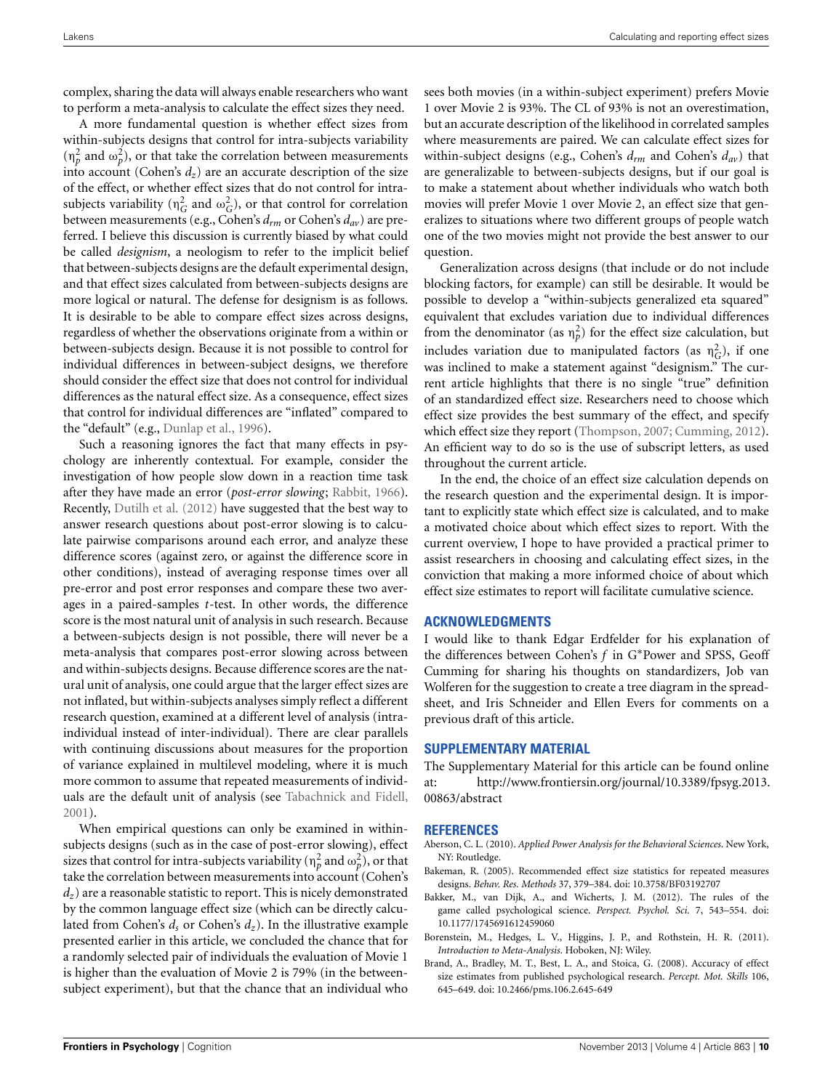complex, sharing the data will always enable researchers who want to perform a meta-analysis to calculate the effect sizes they need.

A more fundamental question is whether effect sizes from within-subjects designs that control for intra-subjects variability  $(n_p^2$  and  $\omega_p^2$ ), or that take the correlation between measurements into account (Cohen's  $d_z$ ) are an accurate description of the size of the effect, or whether effect sizes that do not control for intrasubjects variability ( $\eta_G^2$  and  $\omega_G^2$ ), or that control for correlation between measurements (e.g., Cohen's *drm* or Cohen's *dav*) are preferred. I believe this discussion is currently biased by what could be called *designism*, a neologism to refer to the implicit belief that between-subjects designs are the default experimental design, and that effect sizes calculated from between-subjects designs are more logical or natural. The defense for designism is as follows. It is desirable to be able to compare effect sizes across designs, regardless of whether the observations originate from a within or between-subjects design. Because it is not possible to control for individual differences in between-subject designs, we therefore should consider the effect size that does not control for individual differences as the natural effect size. As a consequence, effect sizes that control for individual differences are "inflated" compared to the "default" (e.g., [Dunlap et al., 1996](#page-11-9)).

Such a reasoning ignores the fact that many effects in psychology are inherently contextual. For example, consider the investigation of how people slow down in a reaction time task after they have made an error (*post-error slowing*; [Rabbit, 1966\)](#page-11-38). Recently, [Dutilh et al.](#page-11-39) [\(2012\)](#page-11-39) have suggested that the best way to answer research questions about post-error slowing is to calculate pairwise comparisons around each error, and analyze these difference scores (against zero, or against the difference score in other conditions), instead of averaging response times over all pre-error and post error responses and compare these two averages in a paired-samples *t*-test. In other words, the difference score is the most natural unit of analysis in such research. Because a between-subjects design is not possible, there will never be a meta-analysis that compares post-error slowing across between and within-subjects designs. Because difference scores are the natural unit of analysis, one could argue that the larger effect sizes are not inflated, but within-subjects analyses simply reflect a different research question, examined at a different level of analysis (intraindividual instead of inter-individual). There are clear parallels with continuing discussions about measures for the proportion of variance explained in multilevel modeling, where it is much more common to assume that repeated measurements of individuals are the default unit of analysis (see [Tabachnick and Fidell](#page-11-35), [2001](#page-11-35)).

When empirical questions can only be examined in withinsubjects designs (such as in the case of post-error slowing), effect sizes that control for intra-subjects variability ( $\eta_p^2$  and  $\omega_p^2$ ), or that take the correlation between measurements into account (Cohen's *dz*) are a reasonable statistic to report. This is nicely demonstrated by the common language effect size (which can be directly calculated from Cohen's *ds* or Cohen's *dz*). In the illustrative example presented earlier in this article, we concluded the chance that for a randomly selected pair of individuals the evaluation of Movie 1 is higher than the evaluation of Movie 2 is 79% (in the betweensubject experiment), but that the chance that an individual who

sees both movies (in a within-subject experiment) prefers Movie 1 over Movie 2 is 93%. The CL of 93% is not an overestimation, but an accurate description of the likelihood in correlated samples where measurements are paired. We can calculate effect sizes for within-subject designs (e.g., Cohen's *drm* and Cohen's *dav*) that are generalizable to between-subjects designs, but if our goal is to make a statement about whether individuals who watch both movies will prefer Movie 1 over Movie 2, an effect size that generalizes to situations where two different groups of people watch one of the two movies might not provide the best answer to our question.

Generalization across designs (that include or do not include blocking factors, for example) can still be desirable. It would be possible to develop a "within-subjects generalized eta squared" equivalent that excludes variation due to individual differences from the denominator (as  $\eta_p^2$ ) for the effect size calculation, but includes variation due to manipulated factors (as  $\eta_G^2$ ), if one was inclined to make a statement against "designism." The current article highlights that there is no single "true" definition of an standardized effect size. Researchers need to choose which effect size provides the best summary of the effect, and specify which effect size they report [\(Thompson, 2007](#page-11-14); [Cumming](#page-11-5), [2012\)](#page-11-5). An efficient way to do so is the use of subscript letters, as used throughout the current article.

In the end, the choice of an effect size calculation depends on the research question and the experimental design. It is important to explicitly state which effect size is calculated, and to make a motivated choice about which effect sizes to report. With the current overview, I hope to have provided a practical primer to assist researchers in choosing and calculating effect sizes, in the conviction that making a more informed choice of about which effect size estimates to report will facilitate cumulative science.

# **ACKNOWLEDGMENTS**

I would like to thank Edgar Erdfelder for his explanation of the differences between Cohen's *f* in G∗Power and SPSS, Geoff Cumming for sharing his thoughts on standardizers, Job van Wolferen for the suggestion to create a tree diagram in the spreadsheet, and Iris Schneider and Ellen Evers for comments on a previous draft of this article.

# **SUPPLEMENTARY MATERIAL**

The Supplementary Material for this article can be found online at: [http://www.frontiersin.org/journal/10.3389/fpsyg.2013.](http://www.frontiersin.org/journal/10.3389/fpsyg.2013.00863/abstract) [00863/abstract](http://www.frontiersin.org/journal/10.3389/fpsyg.2013.00863/abstract)

#### **REFERENCES**

- <span id="page-10-0"></span>Aberson, C. L. (2010). *Applied Power Analysis for the Behavioral Sciences*. New York, NY: Routledge.
- <span id="page-10-3"></span>Bakeman, R. (2005). Recommended effect size statistics for repeated measures designs. *Behav. Res. Methods* 37, 379–384. doi: 10.3758/BF03192707
- <span id="page-10-2"></span>Bakker, M., van Dijk, A., and Wicherts, J. M. (2012). The rules of the game called psychological science. *Perspect. Psychol. Sci.* 7, 543–554. doi: 10.1177/1745691612459060
- <span id="page-10-4"></span>Borenstein, M., Hedges, L. V., Higgins, J. P., and Rothstein, H. R. (2011). *Introduction to Meta-Analysis*. Hoboken, NJ: Wiley.
- <span id="page-10-1"></span>Brand, A., Bradley, M. T., Best, L. A., and Stoica, G. (2008). Accuracy of effect size estimates from published psychological research. *Percept. Mot. Skills* 106, 645–649. doi: 10.2466/pms.106.2.645-649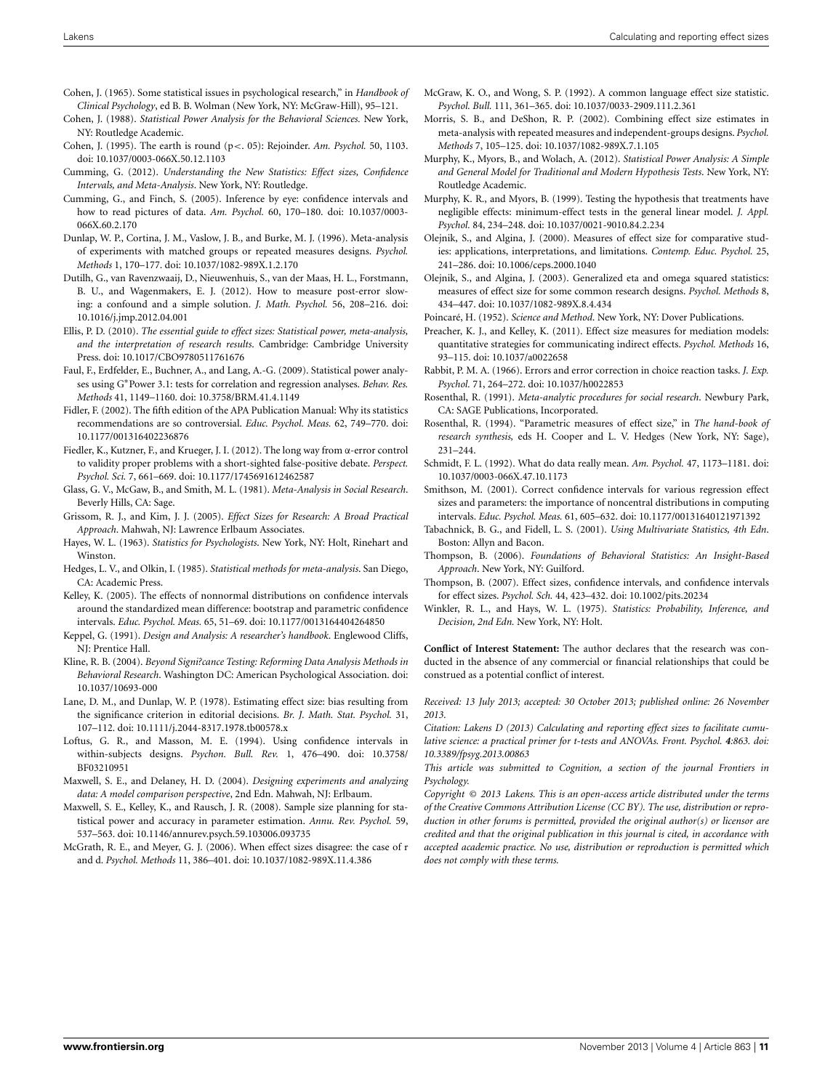- <span id="page-11-26"></span>Cohen, J. (1965). Some statistical issues in psychological research," in *Handbook of Clinical Psychology*, ed B. B. Wolman (New York, NY: McGraw-Hill), 95–121.
- <span id="page-11-0"></span>Cohen, J. (1988). *Statistical Power Analysis for the Behavioral Sciences.* New York, NY: Routledge Academic.
- <span id="page-11-36"></span>Cohen, J. (1995). The earth is round (p<. 05): Rejoinder. *Am. Psychol.* 50, 1103. doi: 10.1037/0003-066X.50.12.1103
- <span id="page-11-5"></span>Cumming, G. (2012). *Understanding the New Statistics: Effect sizes, Confidence Intervals, and Meta-Analysis*. New York, NY: Routledge.
- <span id="page-11-30"></span>Cumming, G., and Finch, S. (2005). Inference by eye: confidence intervals and how to read pictures of data. *Am. Psychol.* 60, 170–180. doi: 10.1037/0003- 066X.60.2.170
- <span id="page-11-9"></span>Dunlap, W. P., Cortina, J. M., Vaslow, J. B., and Burke, M. J. (1996). Meta-analysis of experiments with matched groups or repeated measures designs. *Psychol. Methods* 1, 170–177. doi: 10.1037/1082-989X.1.2.170
- <span id="page-11-39"></span>Dutilh, G., van Ravenzwaaij, D., Nieuwenhuis, S., van der Maas, H. L., Forstmann, B. U., and Wagenmakers, E. J. (2012). How to measure post-error slowing: a confound and a simple solution. *J. Math. Psychol.* 56, 208–216. doi: 10.1016/j.jmp.2012.04.001
- <span id="page-11-4"></span>Ellis, P. D. (2010). *The essential guide to effect sizes: Statistical power, meta-analysis, and the interpretation of research results*. Cambridge: Cambridge University Press. doi: 10.1017/CBO9780511761676
- <span id="page-11-22"></span>Faul, F., Erdfelder, E., Buchner, A., and Lang, A.-G. (2009). Statistical power analyses using G∗Power 3.1: tests for correlation and regression analyses. *Behav. Res. Methods* 41, 1149–1160. doi: 10.3758/BRM.41.4.1149
- <span id="page-11-19"></span>Fidler, F. (2002). The fifth edition of the APA Publication Manual: Why its statistics recommendations are so controversial. *Educ. Psychol. Meas.* 62, 749–770. doi: 10.1177/001316402236876
- <span id="page-11-7"></span>Fiedler, K., Kutzner, F., and Krueger, J. I. (2012). The long way from α-error control to validity proper problems with a short-sighted false-positive debate. *Perspect. Psychol. Sci.* 7, 661–669. doi: 10.1177/1745691612462587
- <span id="page-11-24"></span>Glass, G. V., McGaw, B., and Smith, M. L. (1981). *Meta-Analysis in Social Research*. Beverly Hills, CA: Sage.
- <span id="page-11-2"></span>Grissom, R. J., and Kim, J. J. (2005). *Effect Sizes for Research: A Broad Practical Approach*. Mahwah, NJ: Lawrence Erlbaum Associates.
- <span id="page-11-27"></span>Hayes, W. L. (1963). *Statistics for Psychologists*. New York, NY: Holt, Rinehart and Winston.
- <span id="page-11-16"></span>Hedges, L. V., and Olkin, I. (1985). *Statistical methods for meta-analysis*. San Diego, CA: Academic Press.
- <span id="page-11-18"></span>Kelley, K. (2005). The effects of nonnormal distributions on confidence intervals around the standardized mean difference: bootstrap and parametric confidence intervals. *Educ. Psychol. Meas.* 65, 51–69. doi: 10.1177/0013164404264850
- <span id="page-11-25"></span>Keppel, G. (1991). *Design and Analysis: A researcher's handbook*. Englewood Cliffs, NJ: Prentice Hall.
- <span id="page-11-17"></span>Kline, R. B. (2004). *Beyond Signi?cance Testing: Reforming Data Analysis Methods in Behavioral Research*. Washington DC: American Psychological Association. doi: 10.1037/10693-000
- <span id="page-11-33"></span>Lane, D. M., and Dunlap, W. P. (1978). Estimating effect size: bias resulting from the significance criterion in editorial decisions. *Br. J. Math. Stat. Psychol.* 31, 107–112. doi: 10.1111/j.2044-8317.1978.tb00578.x
- <span id="page-11-11"></span>Loftus, G. R., and Masson, M. E. (1994). Using confidence intervals in within-subjects designs. *Psychon. Bull. Rev.* 1, 476–490. doi: 10.3758/ BF03210951
- <span id="page-11-1"></span>Maxwell, S. E., and Delaney, H. D. (2004). *Designing experiments and analyzing data: A model comparison perspective*, 2nd Edn. Mahwah, NJ: Erlbaum.
- <span id="page-11-31"></span>Maxwell, S. E., Kelley, K., and Rausch, J. R. (2008). Sample size planning for statistical power and accuracy in parameter estimation. *Annu. Rev. Psychol.* 59, 537–563. doi: 10.1146/annurev.psych.59.103006.093735
- <span id="page-11-15"></span>McGrath, R. E., and Meyer, G. J. (2006). When effect sizes disagree: the case of r and d. *Psychol. Methods* 11, 386–401. doi: 10.1037/1082-989X.11.4.386
- <span id="page-11-20"></span>McGraw, K. O., and Wong, S. P. (1992). A common language effect size statistic. *Psychol. Bull.* 111, 361–365. doi: 10.1037/0033-2909.111.2.361
- <span id="page-11-23"></span>Morris, S. B., and DeShon, R. P. (2002). Combining effect size estimates in meta-analysis with repeated measures and independent-groups designs. *Psychol. Methods* 7, 105–125. doi: 10.1037/1082-989X.7.1.105
- <span id="page-11-6"></span>Murphy, K., Myors, B., and Wolach, A. (2012). *Statistical Power Analysis: A Simple and General Model for Traditional and Modern Hypothesis Tests*. New York, NY: Routledge Academic.
- <span id="page-11-37"></span>Murphy, K. R., and Myors, B. (1999). Testing the hypothesis that treatments have negligible effects: minimum-effect tests in the general linear model. *J. Appl. Psychol.* 84, 234–248. doi: 10.1037/0021-9010.84.2.234
- <span id="page-11-29"></span>Olejnik, S., and Algina, J. (2000). Measures of effect size for comparative studies: applications, interpretations, and limitations. *Contemp. Educ. Psychol.* 25, 241–286. doi: 10.1006/ceps.2000.1040
- <span id="page-11-10"></span>Olejnik, S., and Algina, J. (2003). Generalized eta and omega squared statistics: measures of effect size for some common research designs. *Psychol. Methods* 8, 434–447. doi: 10.1037/1082-989X.8.4.434
- <span id="page-11-12"></span>Poincaré, H. (1952). *Science and Method*. New York, NY: Dover Publications.
- <span id="page-11-32"></span>Preacher, K. J., and Kelley, K. (2011). Effect size measures for mediation models: quantitative strategies for communicating indirect effects. *Psychol. Methods* 16, 93–115. doi: 10.1037/a0022658
- <span id="page-11-38"></span>Rabbit, P. M. A. (1966). Errors and error correction in choice reaction tasks. *J. Exp. Psychol.* 71, 264–272. doi: 10.1037/h0022853
- <span id="page-11-21"></span>Rosenthal, R. (1991). *Meta-analytic procedures for social research*. Newbury Park, CA: SAGE Publications, Incorporated.
- <span id="page-11-13"></span>Rosenthal, R. (1994). "Parametric measures of effect size," in *The hand-book of research synthesis,* eds H. Cooper and L. V. Hedges (New York, NY: Sage), 231–244.
- <span id="page-11-34"></span>Schmidt, F. L. (1992). What do data really mean. *Am. Psychol.* 47, 1173–1181. doi: 10.1037/0003-066X.47.10.1173
- <span id="page-11-8"></span>Smithson, M. (2001). Correct confidence intervals for various regression effect sizes and parameters: the importance of noncentral distributions in computing intervals. *Educ. Psychol. Meas.* 61, 605–632. doi: 10.1177/00131640121971392
- <span id="page-11-35"></span>Tabachnick, B. G., and Fidell, L. S. (2001). *Using Multivariate Statistics, 4th Edn*. Boston: Allyn and Bacon.
- <span id="page-11-3"></span>Thompson, B. (2006). *Foundations of Behavioral Statistics: An Insight-Based Approach*. New York, NY: Guilford.
- <span id="page-11-14"></span>Thompson, B. (2007). Effect sizes, confidence intervals, and confidence intervals for effect sizes. *Psychol. Sch.* 44, 423–432. doi: 10.1002/pits.20234
- <span id="page-11-28"></span>Winkler, R. L., and Hays, W. L. (1975). *Statistics: Probability, Inference, and Decision, 2nd Edn.* New York, NY: Holt.

**Conflict of Interest Statement:** The author declares that the research was conducted in the absence of any commercial or financial relationships that could be construed as a potential conflict of interest.

*Received: 13 July 2013; accepted: 30 October 2013; published online: 26 November 2013.*

*Citation: Lakens D (2013) Calculating and reporting effect sizes to facilitate cumulative science: a practical primer for t-tests and ANOVAs. Front. Psychol. 4:863. doi: [10.3389/fpsyg.2013.00863](http://dx.doi.org/10.3389/fpsyg.2013.00863)*

*This article was submitted to Cognition, a section of the journal Frontiers in Psychology.*

*Copyright © 2013 Lakens. This is an open-access article distributed under the terms of the [Creative Commons Attribution License \(CC BY\).](http://creativecommons.org/licenses/by/3.0/) The use, distribution or reproduction in other forums is permitted, provided the original author(s) or licensor are credited and that the original publication in this journal is cited, in accordance with accepted academic practice. No use, distribution or reproduction is permitted which does not comply with these terms.*